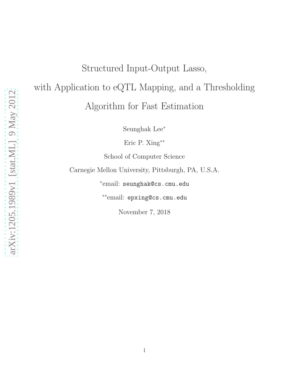# Structured Input-Output Lasso, with Application to eQTL Mapping, and a Thresholding Algorithm for Fast Estimation

Seunghak Lee<sup>∗</sup>

Eric P. Xing∗∗

School of Computer Science

Carnegie Mellon University, Pittsburgh, PA, U.S.A.

∗ email: seunghak@cs.cmu.edu

∗∗email: epxing@cs.cmu.edu

November 7, 2018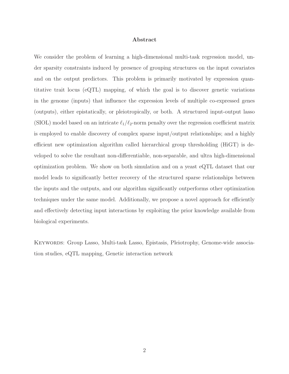### Abstract

We consider the problem of learning a high-dimensional multi-task regression model, under sparsity constraints induced by presence of grouping structures on the input covariates and on the output predictors. This problem is primarily motivated by expression quantitative trait locus (eQTL) mapping, of which the goal is to discover genetic variations in the genome (inputs) that influence the expression levels of multiple co-expressed genes (outputs), either epistatically, or pleiotropically, or both. A structured input-output lasso (SIOL) model based on an intricate  $\ell_1/\ell_2$ -norm penalty over the regression coefficient matrix is employed to enable discovery of complex sparse input/output relationships; and a highly efficient new optimization algorithm called hierarchical group thresholding (HiGT) is developed to solve the resultant non-differentiable, non-separable, and ultra high-dimensional optimization problem. We show on both simulation and on a yeast eQTL dataset that our model leads to significantly better recovery of the structured sparse relationships between the inputs and the outputs, and our algorithm significantly outperforms other optimization techniques under the same model. Additionally, we propose a novel approach for efficiently and effectively detecting input interactions by exploiting the prior knowledge available from biological experiments.

KEYWORDS: Group Lasso, Multi-task Lasso, Epistasis, Pleiotrophy, Genome-wide association studies, eQTL mapping, Genetic interaction network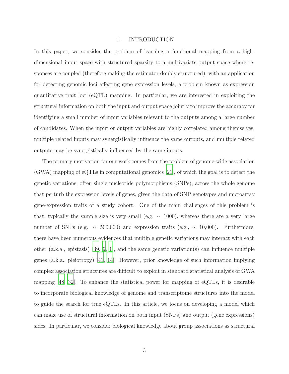#### 1. INTRODUCTION

In this paper, we consider the problem of learning a functional mapping from a highdimensional input space with structured sparsity to a multivariate output space where responses are coupled (therefore making the estimator doubly structured), with an application for detecting genomic loci affecting gene expression levels, a problem known as expression quantitative trait loci (eQTL) mapping. In particular, we are interested in exploiting the structural information on both the input and output space jointly to improve the accuracy for identifying a small number of input variables relevant to the outputs among a large number of candidates. When the input or output variables are highly correlated among themselves, multiple related inputs may synergistically influence the same outputs, and multiple related outputs may be synergistically influenced by the same inputs.

The primary motivation for our work comes from the problem of genome-wide association (GWA) mapping of eQTLs in computational genomics [\[21\]](#page-42-0), of which the goal is to detect the genetic variations, often single nucleotide polymorphisms (SNPs), across the whole genome that perturb the expression levels of genes, given the data of SNP genotypes and microarray gene-expression traits of a study cohort. One of the main challenges of this problem is that, typically the sample size is very small (e.g.  $\sim$  1000), whereas there are a very large number of SNPs (e.g.  $\sim$  500,000) and expression traits (e.g.,  $\sim$  10,000). Furthermore, there have been numerous evidences that multiple genetic variations may interact with each other (a.k.a., epistasis) [\[39,](#page-44-0) [9,](#page-41-0) [1](#page-40-0)], and the same genetic variation(s) can influence multiple genes (a.k.a., pleiotropy) [\[41](#page-44-1), [14](#page-41-1)]. However, prior knowledge of such information implying complex association structures are difficult to exploit in standard statistical analysis of GWA mapping [\[48,](#page-45-0) [32\]](#page-43-0). To enhance the statistical power for mapping of eQTLs, it is desirable to incorporate biological knowledge of genome and transcriptome structures into the model to guide the search for true eQTLs. In this article, we focus on developing a model which can make use of structural information on both input (SNPs) and output (gene expressions) sides. In particular, we consider biological knowledge about group associations as structural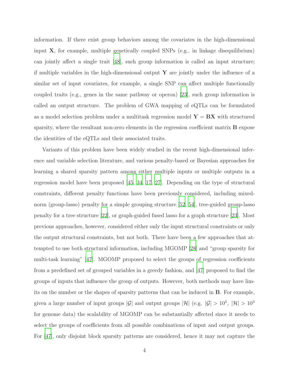information. If there exist group behaviors among the covariates in the high-dimensional input  $X$ , for example, multiple genetically coupled SNPs (e.g., in linkage disequilibrium) can jointly affect a single trait [\[48\]](#page-45-0), such group information is called an input structure; if multiple variables in the high-dimensional output  $\bf{Y}$  are jointly under the influence of a similar set of input covariates, for example, a single SNP can affect multiple functionally coupled traits (e.g., genes in the same pathway or operon) [\[23\]](#page-42-1), such group information is called an output structure. The problem of GWA mapping of eQTLs can be formulated as a model selection problem under a multitask regression model  $Y = BX$  with structured sparsity, where the resultant non-zero elements in the regression coefficient matrix **B** expose the identities of the eQTLs and their associated traits.

Variants of this problem have been widely studied in the recent high-dimensional inference and variable selection literature, and various penalty-based or Bayesian approaches for learning a shared sparsity pattern among either multiple inputs or multiple outputs in a regression model have been proposed [\[45](#page-44-2), [34,](#page-43-1) [17,](#page-42-2) [27](#page-43-2)]. Depending on the type of structural constraints, different penalty functions have been previously considered, including mixednorm (group-lasso) penalty for a simple grouping structure [\[52](#page-45-1), [54](#page-45-2)], tree-guided group-lasso penalty for a tree structure [\[22\]](#page-42-3), or graph-guided fused lasso for a graph structure [\[23\]](#page-42-1). Most previous approaches, however, considered either only the input structural constraints or only the output structural constraints, but not both. There have been a few approaches that attempted to use both structural information, including MGOMP [\[28](#page-43-3)] and "group sparsity for multi-task learning" [\[47\]](#page-45-3). MGOMP proposed to select the groups of regression coefficients from a predefined set of grouped variables in a greedy fashion, and [\[47](#page-45-3)] proposed to find the groups of inputs that influence the group of outputs. However, both methods may have limits on the number or the shapes of sparsity patterns that can be induced in B. For example, given a large number of input groups |G| and output groups |H| (e.g.  $|G| > 10^5$ ,  $|H| > 10^3$ for genome data) the scalability of MGOMP can be substantially affected since it needs to select the groups of coefficients from all possible combinations of input and output groups. For [\[47](#page-45-3)], only disjoint block sparsity patterns are considered, hence it may not capture the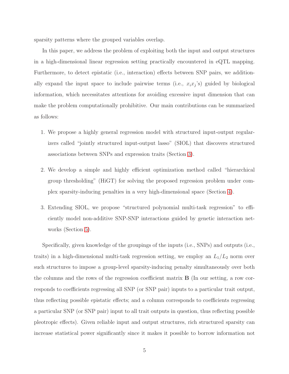sparsity patterns where the grouped variables overlap.

In this paper, we address the problem of exploiting both the input and output structures in a high-dimensional linear regression setting practically encountered in eQTL mapping. Furthermore, to detect epistatic (i.e., interaction) effects between SNP pairs, we additionally expand the input space to include pairwise terms (i.e.,  $x_i x_j$ 's) guided by biological information, which necessitates attentions for avoiding excessive input dimension that can make the problem computationally prohibitive. Our main contributions can be summarized as follows:

- 1. We propose a highly general regression model with structured input-output regularizers called "jointly structured input-output lasso" (SIOL) that discovers structured associations between SNPs and expression traits (Section [3\)](#page-10-0).
- 2. We develop a simple and highly efficient optimization method called "hierarchical group thresholding" (HiGT) for solving the proposed regression problem under complex sparsity-inducing penalties in a very high-dimensional space (Section [4\)](#page-14-0).
- 3. Extending SIOL, we propose "structured polynomial multi-task regression" to efficiently model non-additive SNP-SNP interactions guided by genetic interaction networks (Section [5\)](#page-20-0).

Specifically, given knowledge of the groupings of the inputs (i.e., SNPs) and outputs (i.e., traits) in a high-dimensional multi-task regression setting, we employ an  $L_1/L_2$  norm over such structures to impose a group-level sparsity-inducing penalty simultaneously over both the columns and the rows of the regression coefficient matrix B (In our setting, a row corresponds to coefficients regressing all SNP (or SNP pair) inputs to a particular trait output, thus reflecting possible epistatic effects; and a column corresponds to coefficients regressing a particular SNP (or SNP pair) input to all trait outputs in question, thus reflecting possible pleotropic effects). Given reliable input and output structures, rich structured sparsity can increase statistical power significantly since it makes it possible to borrow information not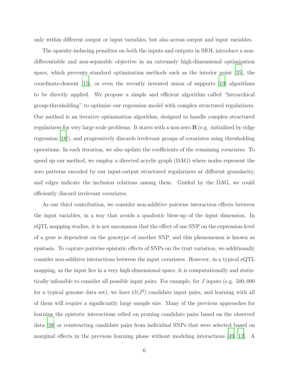only within different output or input variables, but also across output and input variables.

The sparsity-inducing penalties on both the inputs and outputs in SIOL introduce a nondifferentiable and non-separable objective in an extremely high-dimensional optimization space, which prevents standard optimization methods such as the interior point [\[35\]](#page-43-4), the coordinate-descent [\[15\]](#page-41-2), or even the recently invented union of supports [\[19\]](#page-42-4) algorithms to be directly applied. We propose a simple and efficient algorithm called "hierarchical group-thresholding" to optimize our regression model with complex structured regularizers. Our method is an iterative optimization algorithm, designed to handle complex structured regularizers for very large scale problems. It starts with a non-zero B (e.g. initialized by ridge regression [\[18\]](#page-42-5)), and progressively discards irrelevant groups of covariates using thresholding operations. In each iteration, we also update the coefficients of the remaining covariates. To speed up our method, we employ a directed acyclic graph (DAG) where nodes represent the zero patterns encoded by our input-output structured regularizers at different granularity, and edges indicate the inclusion relations among them. Guided by the DAG, we could efficiently discard irrelevant covariates.

As our third contribution, we consider non-additive pairwise interaction effects between the input variables, in a way that avoids a quadratic blow-up of the input dimension. In eQTL mapping studies, it is not uncommon that the effect of one SNP on the expression-level of a gene is dependent on the genotype of another SNP, and this phenomenon is known as epistasis. To capture pairwise epistatic effects of SNPs on the trait variation, we additionally consider non-additive interactions between the input covariates. However, in a typical eQTL mapping, as the input lies in a very high-dimensional space, it is computationally and statistically infeasible to consider all possible input pairs. For example, for J inputs (e.g. 500, 000 for a typical genome data set), we have  $O(J^2)$  candidate input pairs, and learning with all of them will require a significantly large sample size. Many of the previous approaches for learning the epistatic interactions relied on pruning candidate pairs based on the observed data [\[38\]](#page-44-3) or constructing candidate pairs from individual SNPs that were selected based on marginal effects in the previous learning phase without modeling interactions [\[49](#page-45-4), [13\]](#page-41-3). A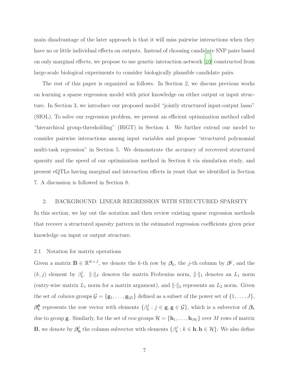main disadvantage of the later approach is that it will miss pairwise interactions when they have no or little individual effects on outputs. Instead of choosing candidate SNP pairs based on only marginal effects, we propose to use genetic interaction network [\[10](#page-41-4)] constructed from large-scale biological experiments to consider biologically plausible candidate pairs.

The rest of this paper is organized as follows. In Section 2, we discuss previous works on learning a sparse regression model with prior knowledge on either output or input structure. In Section 3, we introduce our proposed model "jointly structured input-output lasso" (SIOL). To solve our regression problem, we present an efficient optimization method called "hierarchical group-thresholding" (HiGT) in Section 4. We further extend our model to consider pairwise interactions among input variables and propose "structured polynomial multi-task regression" in Section 5. We demonstrate the accuracy of recovered structured sparsity and the speed of our optimization method in Section 6 via simulation study, and present eQTLs having marginal and interaction effects in yeast that we identified in Section 7. A discussion is followed in Section 8.

# 2. BACKGROUND: LINEAR REGRESSION WITH STRUCTURED SPARSITY

In this section, we lay out the notation and then review existing sparse regression methods that recover a structured sparsity pattern in the estimated regression coefficients given prior knowledge on input or output structure.

## 2.1 Notation for matrix operations

Given a matrix  $\mathbf{B} \in \mathbb{R}^{K \times J}$ , we denote the k-th row by  $\beta_k$ , the j-th column by  $\beta^j$ , and the  $(k, j)$  element by  $\beta_k^j$  $\| \cdot \|_F$  denotes the matrix Frobenius norm,  $\| \cdot \|_1$  denotes an  $L_1$  norm (entry-wise matrix  $L_1$  norm for a matrix argument), and  $\lVert \cdot \rVert_2$  represents an  $L_2$  norm. Given the set of *column* groups  $\mathcal{G} = {\{g_1, \ldots, g_{|\mathcal{G}|}\}}$  defined as a subset of the power set of  $\{1, \ldots, J\}$ ,  $\bm{\beta}_k^{\mathbf{g}}$  $\frac{\mathbf{g}}{k}$  represents the row vector with elements  $\{\beta_k^j\}$  $k_i^j : j \in \mathbf{g}, \mathbf{g} \in \mathcal{G}$ , which is a subvector of  $\beta_k$ due to group **g**. Similarly, for the set of *row* groups  $\mathcal{H} = {\mathbf{h}_1, \dots, \mathbf{h}_{|\mathcal{H}|}}$  over M rows of matrix **B**, we denote by  $\beta_{\rm h}^j$  $\frac{d}{dt}$  the column subvector with elements  $\{\beta_k^j\}$  $\mathbf{k}^j : k \in \mathbf{h}, \mathbf{h} \in \mathcal{H}$ . We also define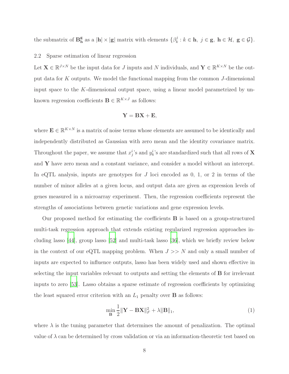the submatrix of  $\mathbf{B}_{\mathbf{h}}^{\mathbf{g}}$  $\frac{\mathbf{g}}{\mathbf{h}}$  as a  $|\mathbf{h}| \times |\mathbf{g}|$  matrix with elements  $\{\beta_k^j\}$  $k_i^j : k \in \mathbf{h}, \ j \in \mathbf{g}, \ \mathbf{h} \in \mathcal{H}, \ \mathbf{g} \in \mathcal{G}$ .

#### 2.2 Sparse estimation of linear regression

Let  $\mathbf{X} \in \mathbb{R}^{J \times N}$  be the input data for J inputs and N individuals, and  $\mathbf{Y} \in \mathbb{R}^{K \times N}$  be the output data for K outputs. We model the functional mapping from the common J-dimensional input space to the K-dimensional output space, using a linear model parametrized by unknown regression coefficients  $\mathbf{B} \in \mathbb{R}^{K \times J}$  as follows:

$$
\mathbf{Y} = \mathbf{B}\mathbf{X} + \mathbf{E},
$$

where  $\mathbf{E} \in \mathbb{R}^{K \times N}$  is a matrix of noise terms whose elements are assumed to be identically and independently distributed as Gaussian with zero mean and the identity covariance matrix. Throughout the paper, we assume that  $x_j^i$ 's and  $y_k^i$ 's are standardized such that all rows of **X** and Y have zero mean and a constant variance, and consider a model without an intercept. In eQTL analysis, inputs are genotypes for  $J$  loci encoded as 0, 1, or 2 in terms of the number of minor alleles at a given locus, and output data are given as expression levels of genes measured in a microarray experiment. Then, the regression coefficients represent the strengths of associations between genetic variations and gene expression levels.

Our proposed method for estimating the coefficients B is based on a group-structured multi-task regression approach that extends existing regularized regression approaches including lasso [\[44\]](#page-44-4), group lasso [\[52\]](#page-45-1) and multi-task lasso [\[36\]](#page-44-5), which we briefly review below in the context of our eQTL mapping problem. When  $J \gg N$  and only a small number of inputs are expected to influence outputs, lasso has been widely used and shown effective in selecting the input variables relevant to outputs and setting the elements of B for irrelevant inputs to zero [\[53\]](#page-45-5). Lasso obtains a sparse estimate of regression coefficients by optimizing the least squared error criterion with an  $L_1$  penalty over **B** as follows:

$$
\min_{\mathbf{B}} \frac{1}{2} \|\mathbf{Y} - \mathbf{B}\mathbf{X}\|_F^2 + \lambda \|\mathbf{B}\|_1,\tag{1}
$$

where  $\lambda$  is the tuning parameter that determines the amount of penalization. The optimal value of  $\lambda$  can be determined by cross validation or via an information-theoretic test based on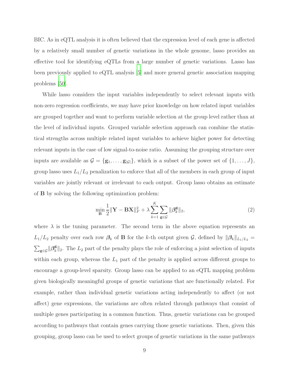BIC. As in eQTL analysis it is often believed that the expression level of each gene is affected by a relatively small number of genetic variations in the whole genome, lasso provides an effective tool for identifying eQTLs from a large number of genetic variations. Lasso has been previously applied to eQTL analysis [\[5](#page-40-1)] and more general genetic association mapping problems [\[50](#page-45-6)].

While lasso considers the input variables independently to select relevant inputs with non-zero regression coefficients, we may have prior knowledge on how related input variables are grouped together and want to perform variable selection at the group level rather than at the level of individual inputs. Grouped variable selection approach can combine the statistical strengths across multiple related input variables to achieve higher power for detecting relevant inputs in the case of low signal-to-noise ratio. Assuming the grouping structure over inputs are available as  $\mathcal{G} = {\{g_1, \ldots, g_{|\mathcal{G}|}\}},$  which is a subset of the power set of  $\{1, \ldots, J\},$ group lasso uses  $L_1/L_2$  penalization to enforce that all of the members in each group of input variables are jointly relevant or irrelevant to each output. Group lasso obtains an estimate of B by solving the following optimization problem:

$$
\min_{\mathbf{B}} \frac{1}{2} \|\mathbf{Y} - \mathbf{B}\mathbf{X}\|_F^2 + \lambda \sum_{k=1}^K \sum_{\mathbf{g} \in \mathcal{G}} \|\boldsymbol{\beta}_k^{\mathbf{g}}\|_2, \tag{2}
$$

where  $\lambda$  is the tuning parameter. The second term in the above equation represents an  $L_1/L_2$  penalty over each row  $\beta_k$  of **B** for the k-th output given  $\mathcal{G}$ , defined by  $\|\beta_k\|_{L_1/L_2}$  =  $\sum_{{\mathbf g}\in{\mathcal G}}\!\|\boldsymbol{\beta}_k^{\mathbf g}$  $\frac{g}{k}$ ||2. The  $L_2$  part of the penalty plays the role of enforcing a joint selection of inputs within each group, whereas the  $L_1$  part of the penalty is applied across different groups to encourage a group-level sparsity. Group lasso can be applied to an eQTL mapping problem given biologically meaningful groups of genetic variations that are functionally related. For example, rather than individual genetic variations acting independently to affect (or not affect) gene expressions, the variations are often related through pathways that consist of multiple genes participating in a common function. Thus, genetic variations can be grouped according to pathways that contain genes carrying those genetic variations. Then, given this grouping, group lasso can be used to select groups of genetic variations in the same pathways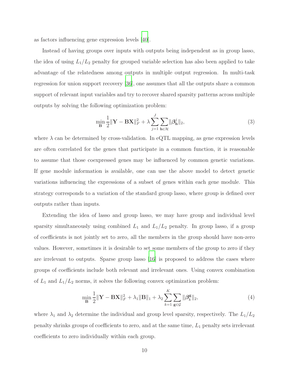as factors influencing gene expression levels [\[40\]](#page-44-6).

Instead of having groups over inputs with outputs being independent as in group lasso, the idea of using  $L_1/L_2$  penalty for grouped variable selection has also been applied to take advantage of the relatedness among outputs in multiple output regression. In multi-task regression for union support recovery [\[36\]](#page-44-5), one assumes that all the outputs share a common support of relevant input variables and try to recover shared sparsity patterns across multiple outputs by solving the following optimization problem:

$$
\min_{\mathbf{B}} \frac{1}{2} \|\mathbf{Y} - \mathbf{B}\mathbf{X}\|_{F}^{2} + \lambda \sum_{j=1}^{J} \sum_{\mathbf{h} \in \mathcal{H}} \|\boldsymbol{\beta}_{\mathbf{h}}^{j}\|_{2},\tag{3}
$$

where  $\lambda$  can be determined by cross-validation. In eQTL mapping, as gene expression levels are often correlated for the genes that participate in a common function, it is reasonable to assume that those coexpressed genes may be influenced by common genetic variations. If gene module information is available, one can use the above model to detect genetic variations influencing the expressions of a subset of genes within each gene module. This strategy corresponds to a variation of the standard group lasso, where group is defined over outputs rather than inputs.

Extending the idea of lasso and group lasso, we may have group and individual level sparsity simultaneously using combined  $L_1$  and  $L_1/L_2$  penalty. In group lasso, if a group of coefficients is not jointly set to zero, all the members in the group should have non-zero values. However, sometimes it is desirable to set some members of the group to zero if they are irrelevant to outputs. Sparse group lasso [\[16](#page-41-5)] is proposed to address the cases where groups of coefficients include both relevant and irrelevant ones. Using convex combination of  $L_1$  and  $L_1/L_2$  norms, it solves the following convex optimization problem:

$$
\min_{\mathbf{B}} \frac{1}{2} \|\mathbf{Y} - \mathbf{B}\mathbf{X}\|_F^2 + \lambda_1 \|\mathbf{B}\|_1 + \lambda_2 \sum_{k=1}^K \sum_{\mathbf{g} \in \mathcal{G}} \|\beta_k^{\mathbf{g}}\|_2,
$$
\n(4)

where  $\lambda_1$  and  $\lambda_2$  determine the individual and group level sparsity, respectively. The  $L_1/L_2$ penalty shrinks groups of coefficients to zero, and at the same time,  $L_1$  penalty sets irrelevant coefficients to zero individually within each group.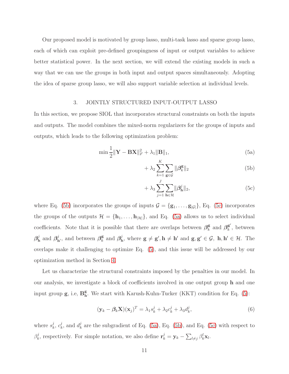Our proposed model is motivated by group lasso, multi-task lasso and sparse group lasso, each of which can exploit pre-defined groupingness of input or output variables to achieve better statistical power. In the next section, we will extend the existing models in such a way that we can use the groups in both input and output spaces simultaneously. Adopting the idea of sparse group lasso, we will also support variable selection at individual levels.

## 3. JOINTLY STRUCTURED INPUT-OUTPUT LASSO

<span id="page-10-0"></span>In this section, we propose SIOL that incorporates structural constraints on both the inputs and outputs. The model combines the mixed-norm regularizers for the groups of inputs and outputs, which leads to the following optimization problem:

$$
\min \frac{1}{2} \|\mathbf{Y} - \mathbf{B}\mathbf{X}\|_F^2 + \lambda_1 \|\mathbf{B}\|_1,
$$
\n(5a)

<span id="page-10-4"></span><span id="page-10-3"></span><span id="page-10-1"></span>
$$
+\lambda_2 \sum_{k=1}^{K} \sum_{\mathbf{g} \in \mathcal{G}} ||\boldsymbol{\beta}_k^{\mathbf{g}}||_2
$$
 (5b)

<span id="page-10-2"></span>
$$
+\lambda_3 \sum_{j=1}^{J} \sum_{\mathbf{h} \in \mathcal{H}} ||\boldsymbol{\beta}_{\mathbf{h}}^j||_2, \tag{5c}
$$

where Eq. [\(5b\)](#page-10-1) incorporates the groups of inputs  $\mathcal{G} = {\{g_1, \ldots, g_{|\mathcal{G}|}\}}$ , Eq. [\(5c\)](#page-10-2) incorporates the groups of the outputs  $\mathcal{H} = {\bf{h}}_1, \ldots, {\bf{h}}_{|\mathcal{H}|}$ , and Eq. [\(5a\)](#page-10-3) allows us to select individual coefficients. Note that it is possible that there are overlaps between  $\beta_k^{\mathbf{g}}$  $_{k}^{\mathbf{g}}$  and  $\boldsymbol{\beta}_{k}^{\mathbf{g}'}$  $\frac{g}{k}$ , between  $\bm{\beta}^j_\textbf{k}$  $\mathbf{a}^j$  and  $\mathbf{\beta}_{\mathbf{h}'}^j$ , and between  $\mathbf{\beta}_{k}^{\mathbf{g}}$  $\frac{\mathbf{g}}{k}$  and  $\boldsymbol{\beta}_{\mathbf{h}}^j$ h, where  $g \neq g', h \neq h'$  and  $g, g' \in \mathcal{G}, h, h' \in \mathcal{H}$ . The overlaps make it challenging to optimize Eq. [\(5\)](#page-10-4), and this issue will be addressed by our optimization method in Section [4.](#page-14-0)

Let us characterize the structural constraints imposed by the penalties in our model. In our analysis, we investigate a block of coefficients involved in one output group h and one input group  $\mathbf{g}$ , i.e,  $\mathbf{B}_{\mathbf{h}}^{\mathbf{g}}$ h . We start with Karush-Kuhn-Tucker (KKT) condition for Eq. [\(5\)](#page-10-4):

<span id="page-10-5"></span>
$$
(\mathbf{y}_k - \boldsymbol{\beta}_k \mathbf{X})(\mathbf{x}_j)^T = \lambda_1 s_k^j + \lambda_2 c_k^j + \lambda_3 d_k^j,
$$
\n(6)

where  $s_k^j$  $\frac{j}{k},\ c^j_k$  $\eta_k^j$ , and  $d_k^j$  $\mathcal{L}_k^j$  are the subgradient of Eq. [\(5a\)](#page-10-3), Eq. [\(5b\)](#page-10-1), and Eq. [\(5c\)](#page-10-2) with respect to  $\beta_k^j$ <sup>j</sup>, respectively. For simple notation, we also define  $\mathbf{r}_k^j = \mathbf{y}_k - \sum_{l \neq j} \beta_k^l \mathbf{x}_l$ .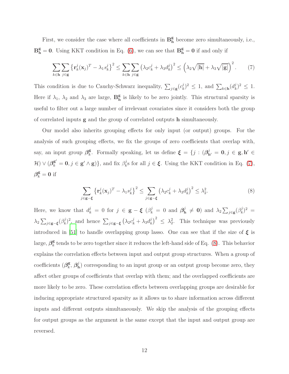First, we consider the case where all coefficients in  $\mathbf{B}_{h}^{\mathbf{g}}$  $_{h}^{\mathbf{g}}$  become zero simultaneously, i.e.,  $B_h^g = 0$ . Using KKT condition in Eq. [\(6\)](#page-10-5), we can see that  $B_h^g = 0$  if and only if

<span id="page-11-0"></span>
$$
\sum_{k \in \mathbf{h}} \sum_{j \in \mathbf{g}} \left\{ \mathbf{r}_k^j (\mathbf{x}_j)^T - \lambda_1 s_k^j \right\}^2 \le \sum_{k \in \mathbf{h}} \sum_{j \in \mathbf{g}} \left( \lambda_2 c_k^j + \lambda_3 d_k^j \right)^2 \le \left( \lambda_2 \sqrt{|\mathbf{h}|} + \lambda_3 \sqrt{|\mathbf{g}|} \right)^2. \tag{7}
$$

This condition is due to Cauchy-Schwarz inequality,  $\sum_{j\in\mathbf{g}}(c_k^j)$  $(k^j)^2 \leq 1$ , and  $\sum_{k \in \mathbf{h}} \left( d_k^j \right)$  $(k^j)^2 \leq 1.$ Here if  $\lambda_1$ ,  $\lambda_2$  and  $\lambda_3$  are large,  $\mathbf{B}_{\mathbf{h}}^{\mathbf{g}}$  $_{h}^{\mathbf{g}}$  is likely to be zero jointly. This structural sparsity is useful to filter out a large number of irrelevant covariates since it considers both the group of correlated inputs g and the group of correlated outputs h simultaneously.

Our model also inherits grouping effects for only input (or output) groups. For the analysis of such grouping effects, we fix the groups of zero coefficients that overlap with, say, an input group  $\beta_k^{\mathbf{g}}$ <sup>g</sup>. Formally speaking, let us define  $\xi = \{j : (\beta_{h'}^j = 0, j \in g, h' \in$  $\mathcal{H}$ )  $\vee$  ( $\boldsymbol{\beta}_k^{\mathbf{g}'} = \mathbf{0}, j \in \mathbf{g'} \wedge \mathbf{g}$ ), and fix  $\beta_k^j$  $k_s^j$ s for all  $j \in \xi$ . Using the KKT condition in Eq. [\(7\)](#page-11-0),  $\beta_k^{\bf g}=0$  if

<span id="page-11-1"></span>
$$
\sum_{j \in \mathbf{g} - \xi} \left\{ \mathbf{r}_k^j (\mathbf{x}_j)^T - \lambda_1 s_k^j \right\}^2 \le \sum_{j \in \mathbf{g} - \xi} \left( \lambda_2 c_k^j + \lambda_3 d_k^j \right)^2 \le \lambda_2^2. \tag{8}
$$

Here, we know that  $d_k^j = 0$  for  $j \in \mathbf{g} - \boldsymbol{\xi}$  ( $\beta_k^j = 0$  and  $\beta_k^j$ )  $\hat{\mathbf{h}} \neq \mathbf{0}$  and  $\lambda_2 \sum_{j \in \mathbf{g}} (\beta_k^j)$  $(k^j)^2 =$  $\lambda_2 \sum_{j \in \mathbf{g} - \boldsymbol{\xi}} (\beta_k^j)$  $(k)$ <sup>j</sup>)<sup>2</sup>, and hence  $\sum_{j \in \mathbf{g} - \xi} (\lambda_2 c_k^j + \lambda_3 d_k^j)$  $\left(\frac{j}{k}\right)^2 \leq \lambda_2^2$ . This technique was previously introduced in [\[51](#page-45-7)] to handle overlapping group lasso. One can see that if the size of  $\xi$  is large,  $\beta_k^{\rm g}$  $\frac{g}{k}$  tends to be zero together since it reduces the left-hand side of Eq. [\(8\)](#page-11-1). This behavior explains the correlation effects between input and output group structures. When a group of coefficients  $(\beta_k^{\mathbf{g}})$  $_{k}^{\mathbf{g}},\,\bm{\beta}_{\mathbf{k}}^{j}$  $h$ ) corresponding to an input group or an output group become zero, they affect other groups of coefficients that overlap with them; and the overlapped coefficients are more likely to be zero. These correlation effects between overlapping groups are desirable for inducing appropriate structured sparsity as it allows us to share information across different inputs and different outputs simultaneously. We skip the analysis of the grouping effects for output groups as the argument is the same except that the input and output group are reversed.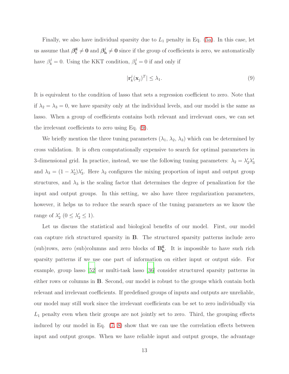Finally, we also have individual sparsity due to  $L_1$  penalty in Eq. [\(5a\)](#page-10-3). In this case, let us assume that  $\beta_k^{\mathbf{g}}$  $\frac{\mathbf{g}}{k} \neq \mathbf{0} \text{ and } \boldsymbol{\beta}_{\mathbf{h}}^{j}$  $\mathbf{b}_h^j \neq \mathbf{0}$  since if the group of coefficients is zero, we automatically have  $\beta_k^j = 0$ . Using the KKT condition,  $\beta_k^j = 0$  if and only if

<span id="page-12-0"></span>
$$
|\mathbf{r}_k^j(\mathbf{x}_j)^T| \le \lambda_1. \tag{9}
$$

It is equivalent to the condition of lasso that sets a regression coefficient to zero. Note that if  $\lambda_2 = \lambda_3 = 0$ , we have sparsity only at the individual levels, and our model is the same as lasso. When a group of coefficients contains both relevant and irrelevant ones, we can set the irrelevant coefficients to zero using Eq. [\(9\)](#page-12-0).

We briefly mention the three tuning parameters  $(\lambda_1, \lambda_2, \lambda_3)$  which can be determined by cross validation. It is often computationally expensive to search for optimal parameters in 3-dimensional grid. In practice, instead, we use the following tuning parameters:  $\lambda_2 = \lambda'_2 \lambda'_3$ and  $\lambda_3 = (1 - \lambda'_2)\lambda'_3$ . Here  $\lambda_2$  configures the mixing proportion of input and output group structures, and  $\lambda_3$  is the scaling factor that determines the degree of penalization for the input and output groups. In this setting, we also have three regularization parameters, however, it helps us to reduce the search space of the tuning parameters as we know the range of  $\lambda'_2$   $(0 \leq \lambda'_2 \leq 1)$ .

Let us discuss the statistical and biological benefits of our model. First, our model can capture rich structured sparsity in B. The structured sparsity patterns include zero  $(\text{sub})$ rows, zero  $(\text{sub})$ columns and zero blocks of  $\mathbf{B}_{h}^{\mathbf{g}}$ h . It is impossible to have such rich sparsity patterns if we use one part of information on either input or output side. For example, group lasso [\[52\]](#page-45-1) or multi-task lasso [\[36\]](#page-44-5) consider structured sparsity patterns in either rows or columns in B. Second, our model is robust to the groups which contain both relevant and irrelevant coefficients. If predefined groups of inputs and outputs are unreliable, our model may still work since the irrelevant coefficients can be set to zero individually via  $L_1$  penalty even when their groups are not jointly set to zero. Third, the grouping effects induced by our model in Eq. [\(7,](#page-11-0) [8\)](#page-11-1) show that we can use the correlation effects between input and output groups. When we have reliable input and output groups, the advantage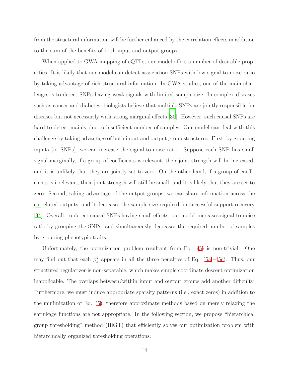from the structural information will be further enhanced by the correlation effects in addition to the sum of the benefits of both input and output groups.

When applied to GWA mapping of eQTLs, our model offers a number of desirable properties. It is likely that our model can detect association SNPs with low signal-to-noise ratio by taking advantage of rich structural information. In GWA studies, one of the main challenges is to detect SNPs having weak signals with limited sample size. In complex diseases such as cancer and diabetes, biologists believe that multiple SNPs are jointly responsible for diseases but not necessarily with strong marginal effects [\[30](#page-43-5)]. However, such causal SNPs are hard to detect mainly due to insufficient number of samples. Our model can deal with this challenge by taking advantage of both input and output group structures. First, by grouping inputs (or SNPs), we can increase the signal-to-noise ratio. Suppose each SNP has small signal marginally, if a group of coefficients is relevant, their joint strength will be increased, and it is unlikely that they are jointly set to zero. On the other hand, if a group of coefficients is irrelevant, their joint strength will still be small, and it is likely that they are set to zero. Second, taking advantage of the output groups, we can share information across the correlated outputs, and it decreases the sample size required for successful support recovery [\[34\]](#page-43-1). Overall, to detect causal SNPs having small effects, our model increases signal-to-noise ratio by grouping the SNPs, and simultaneously decreases the required number of samples by grouping phenotypic traits.

Unfortunately, the optimization problem resultant from Eq. [\(5\)](#page-10-4) is non-trivial. One may find out that each  $\beta_k^j$  $\frac{d}{dx}$  appears in all the three penalties of Eq. [\(5a](#page-10-3) – [5c\)](#page-10-2). Thus, our structured regularizer is non-separable, which makes simple coordinate descent optimization inapplicable. The overlaps between/within input and output groups add another difficulty. Furthermore, we must induce appropriate sparsity patterns (i.e., exact zeros) in addition to the minimization of Eq. [\(5\)](#page-10-4), therefore approximate methods based on merely relaxing the shrinkage functions are not appropriate. In the following section, we propose "hierarchical group thresholding" method (HiGT) that efficiently solves our optimization problem with hierarchically organized thresholding operations.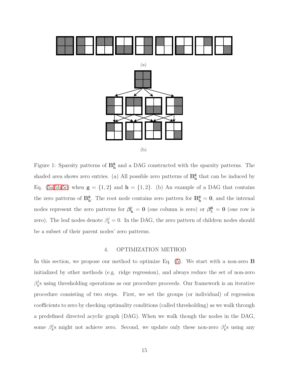<span id="page-14-1"></span>

Figure 1: Sparsity patterns of  $\mathbf{B}_{\mathbf{h}}^{\mathbf{g}}$  $_{h}^{\mathbf{g}}$  and a DAG constructed with the sparsity patterns. The shaded area shows zero entries. (a) All possible zero patterns of  $\mathbf{B}_{\mathbf{h}}^{\mathbf{g}}$ <sup>g</sup> that can be induced by Eq. [\(5a](#page-10-3)[,5b,](#page-10-1)[5c\)](#page-10-2) when  $\mathbf{g} = \{1, 2\}$  and  $\mathbf{h} = \{1, 2\}$ . (b) An example of a DAG that contains the zero patterns of  $\mathbf{B}_{\mathbf{h}}^{\mathbf{g}}$  $_{h}^{\mathbf{g}}$ . The root node contains zero pattern for  $\mathbf{B}_{h}^{\mathbf{g}} = \mathbf{0}$ , and the internal nodes represent the zero patterns for  $\beta_{h}^{j} = 0$  (one column is zero) or  $\beta_{k}^{g} = 0$  (one row is zero). The leaf nodes denote  $\beta_k^j = 0$ . In the DAG, the zero pattern of children nodes should be a subset of their parent nodes' zero patterns.

### 4. OPTIMIZATION METHOD

<span id="page-14-0"></span>In this section, we propose our method to optimize Eq. [\(5\)](#page-10-4). We start with a non-zero B initialized by other methods (e.g. ridge regression), and always reduce the set of non-zero  $\beta_k^j$  $k_s$  using thresholding operations as our procedure proceeds. Our framework is an iterative procedure consisting of two steps. First, we set the groups (or individual) of regression coefficients to zero by checking optimality conditions (called thresholding) as we walk through a predefined directed acyclic graph (DAG). When we walk though the nodes in the DAG, some  $\beta_k^j$  $\mu_k^j$ s might not achieve zero. Second, we update only these non-zero  $\beta_k^j$  $\int_k^j$ s using any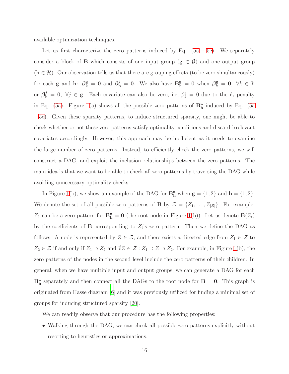available optimization techniques.

Let us first characterize the zero patterns induced by Eq.  $(5a - 5c)$  $(5a - 5c)$ . We separately consider a block of **B** which consists of one input group  $(g \in \mathcal{G})$  and one output group  $(h \in \mathcal{H})$ . Our observation tells us that there are grouping effects (to be zero simultaneously) for each **g** and **h**:  $\beta_k^{\mathsf{g}} = 0$  and  $\beta_{\mathbf{h}}^j = 0$ . We also have  $\mathbf{B}_{\mathbf{h}}^{\mathsf{g}} = 0$  when  $\beta_k^{\mathsf{g}} = 0$ ,  $\forall k \in \mathbf{h}$ or  $\beta_{h}^{j} = 0$ ,  $\forall j \in \mathbf{g}$ . Each covariate can also be zero, i.e,  $\beta_{k}^{j} = 0$  due to the  $\ell_1$  penalty in Eq. [\(5a\)](#page-10-3). Figure [1\(](#page-14-1)a) shows all the possible zero patterns of  $\mathbf{B}_{h}^{\mathbf{g}}$ h induced by Eq. [\(5a](#page-10-3) – [5c\)](#page-10-2). Given these sparsity patterns, to induce structured sparsity, one might be able to check whether or not these zero patterns satisfy optimality conditions and discard irrelevant covariates accordingly. However, this approach may be inefficient as it needs to examine the large number of zero patterns. Instead, to efficiently check the zero patterns, we will construct a DAG, and exploit the inclusion relationships between the zero patterns. The main idea is that we want to be able to check all zero patterns by traversing the DAG while avoiding unnecessary optimality checks.

In Figure [1\(](#page-14-1)b), we show an example of the DAG for  $\mathbf{B}_{\mathbf{h}}^{\mathbf{g}}$  when  $\mathbf{g} = \{1, 2\}$  and  $\mathbf{h} = \{1, 2\}$ . We denote the set of all possible zero patterns of **B** by  $\mathcal{Z} = \{Z_1, \ldots, Z_{|\mathcal{Z}|}\}\.$  For example,  $Z_1$  can be a zero pattern for  $\mathbf{B}_{\mathbf{h}}^{\mathbf{g}} = \mathbf{0}$  (the root node in Figure [1\(](#page-14-1)b)). Let us denote  $\mathbf{B}(Z_t)$ by the coefficients of **B** corresponding to  $Z_t$ 's zero pattern. Then we define the DAG as follows: A node is represented by  $Z \in \mathcal{Z}$ , and there exists a directed edge from  $Z_1 \in \mathcal{Z}$  to  $Z_2 \in \mathcal{Z}$  if and only if  $Z_1 \supset Z_2$  and  $\sharp Z \in \mathcal{Z} : Z_1 \supset Z \supset Z_2$ . For example, in Figure [1\(](#page-14-1)b), the zero patterns of the nodes in the second level include the zero patterns of their children. In general, when we have multiple input and output groups, we can generate a DAG for each  $B_h^g$  $_{h}^{\mathbf{g}}$  separately and then connect all the DAGs to the root node for  $B = 0$ . This graph is originated from Hasse diagram [\[6](#page-40-2)] and it was previously utilized for finding a minimal set of groups for inducing structured sparsity [\[20\]](#page-42-6).

We can readily observe that our procedure has the following properties:

• Walking through the DAG, we can check all possible zero patterns explicitly without resorting to heuristics or approximations.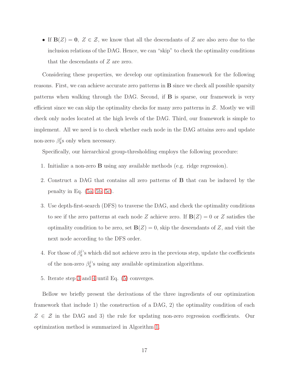• If  $B(Z) = 0$ ,  $Z \in \mathcal{Z}$ , we know that all the descendants of Z are also zero due to the inclusion relations of the DAG. Hence, we can "skip" to check the optimality conditions that the descendants of Z are zero.

Considering these properties, we develop our optimization framework for the following reasons. First, we can achieve accurate zero patterns in B since we check all possible sparsity patterns when walking through the DAG. Second, if B is sparse, our framework is very efficient since we can skip the optimality checks for many zero patterns in  $Z$ . Mostly we will check only nodes located at the high levels of the DAG. Third, our framework is simple to implement. All we need is to check whether each node in the DAG attains zero and update non-zero  $\beta_k^j$  $\chi_k^j$ s only when necessary.

Specifically, our hierarchical group-thresholding employs the following procedure:

- 1. Initialize a non-zero B using any available methods (e.g. ridge regression).
- <span id="page-16-0"></span>2. Construct a DAG that contains all zero patterns of B that can be induced by the penalty in Eq. [\(5a,](#page-10-3) [5b,](#page-10-1) [5c\)](#page-10-2).
- 3. Use depth-first-search (DFS) to traverse the DAG, and check the optimality conditions to see if the zero patterns at each node Z achieve zero. If  $B(Z) = 0$  or Z satisfies the optimality condition to be zero, set  $B(Z) = 0$ , skip the descendants of Z, and visit the next node according to the DFS order.
- <span id="page-16-1"></span>4. For those of  $\beta_k^j$  $k<sup>j</sup>$ 's which did not achieve zero in the previous step, update the coefficients of the non-zero  $\beta_k^j$  $\mathcal{L}_k^j$ 's using any available optimization algorithms.
- 5. Iterate step [3](#page-16-0) and [4](#page-16-1) until Eq. [\(5\)](#page-10-4) converges.

Bellow we briefly present the derivations of the three ingredients of our optimization framework that include 1) the construction of a DAG, 2) the optimality condition of each  $Z \in \mathcal{Z}$  in the DAG and 3) the rule for updating non-zero regression coefficients. Our optimization method is summarized in Algorithm [1.](#page-17-0)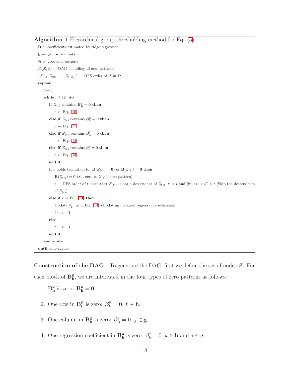<span id="page-17-0"></span>Algorithm 1 Hierarchical group-thresholding method for Eq. [\(5\)](#page-10-4)

 $\mathbf{B} \leftarrow$  coefficients estimated by ridge regression  $\mathcal{G} \leftarrow$  groups of inputs  $\mathcal{H} \leftarrow$  groups of outputs  $D(\mathcal{Z}, \mathcal{E}) \leftarrow \text{DAG}$  including all zero patterns  $\{Z_{(1)}, Z_{(2)}, \ldots, Z_{(|Z|)}\} \leftarrow$  DFS order of  $\mathcal Z$  in  $D$ repeat  $t \leftarrow 1$ while  $t \leq |\mathcal{Z}|$  do if  $Z_{(t)}$  contains  $\mathbf{B}_{\mathbf{h}}^{\mathbf{g}} = \mathbf{0}$  then  $c \leftarrow Eq. (10)$  $c \leftarrow Eq. (10)$ else if  $Z_{(t)}$  contains  $\beta_k^{\mathsf{g}} = 0$  then  $c \leftarrow Eq. (11)$  $c \leftarrow Eq. (11)$ else if  $Z_{(t)}$  contains  $\boldsymbol{\beta}_{\mathbf{h}}^{j}=\mathbf{0}$  then  $c \leftarrow Eq. (12)$  $c \leftarrow Eq. (12)$ else if  $Z_{(t)}$  contains  $\beta_k^j = 0$  then  $c \leftarrow Eq. (13)$  $c \leftarrow Eq. (13)$ end if if c holds (condition for  $\mathbf{B}(Z_{(t)}) = \mathbf{0}$ ) or  $\mathbf{B}(Z_{(t)}) = \mathbf{0}$  then  $\mathbf{B}(Z_{(t)}) = \mathbf{0}$  (Set zero to  $Z_{(t)}$ 's zero pattern)  $t \leftarrow$  DFS order of t' such that  $Z_{(t')}$  is not a descendant of  $Z_{(t)}$ ,  $t' > t$  and  $\hat{\#}t'$  :  $t' > t'' > t$  (Skip the descendants of  $Z_{(t)}$ ) else if  $c = Eq. (13)$  $c = Eq. (13)$  then Update  $\beta_k^j$  using Eq. [\(14\)](#page-19-2) (Updating non-zero regression coefficients)  $t \leftarrow t + 1$ else  $t \leftarrow t + 1$ end if end while until convergence

**Construction of the DAG** To generate the DAG, first we define the set of nodes  $\mathcal{Z}$ . For each block of  $\mathbf{B}_{\mathbf{h}}^{\mathbf{g}}$  $_{\rm h}^{\rm g}$ , we are interested in the four types of zero patterns as follows:

- 1.  $B_h^g$  $_{h}^{\mathbf{g}}$  is zero:  $\mathbf{B}_{h}^{\mathbf{g}} = 0$ .
- 2. One row in  $\mathbf{B}_{\mathbf{h}}^{\mathbf{g}}$  $_{h}^{\mathbf{g}}$  is zero:  $\boldsymbol{\beta}_{k}^{\mathbf{g}}=\mathbf{0}, k \in \mathbf{h}$ .
- 3. One column in  $\mathbf{B}_{\mathbf{h}}^{\mathbf{g}}$  $\mathbf{g}_{\mathbf{h}}^{\mathbf{g}}$  is zero:  $\boldsymbol{\beta}_{\mathbf{h}}^{j}=\mathbf{0}, j \in \mathbf{g}$ .
- 4. One regression coefficient in  $\mathbf{B}_{\mathbf{h}}^{\mathbf{g}}$  $\mathbf{g}_{\mathbf{h}}^{\mathbf{g}}$  is zero:  $\beta_k^j = 0, k \in \mathbf{h}$  and  $j \in \mathbf{g}$ .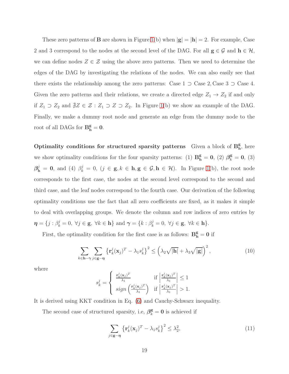These zero patterns of **B** are shown in Figure [1\(](#page-14-1)b) when  $|\mathbf{g}| = |\mathbf{h}| = 2$ . For example, Case 2 and 3 correspond to the nodes at the second level of the DAG. For all  $g \in \mathcal{G}$  and  $h \in \mathcal{H}$ , we can define nodes  $Z \in \mathcal{Z}$  using the above zero patterns. Then we need to determine the edges of the DAG by investigating the relations of the nodes. We can also easily see that there exists the relationship among the zero patterns: Case  $1 \supset C$  as  $2$ , Case  $3 \supset C$  as  $4$ . Given the zero patterns and their relations, we create a directed edge  $Z_1 \rightarrow Z_2$  if and only if  $Z_1$  ⊃  $Z_2$  and  $\sharp Z \in \mathcal{Z}$  :  $Z_1$  ⊃  $Z$  ⊃  $Z_2$ . In Figure [1\(](#page-14-1)b) we show an example of the DAG. Finally, we make a dummy root node and generate an edge from the dummy node to the root of all DAGs for  $B_h^g = 0$ .

Optimality conditions for structured sparsity patterns Given a block of  $B_h^g$  $_{\rm h}^{\rm g}$ , here we show optimality conditions for the four sparsity patterns: (1)  $B_h^g = 0$ , (2)  $\beta_k^g = 0$ , (3)  $\beta_{\mathbf{h}}^j = \mathbf{0}$ , and (4)  $\beta_k^j = 0$ ,  $(j \in \mathbf{g}, k \in \mathbf{h}, \mathbf{g} \in \mathcal{G}, \mathbf{h} \in \mathcal{H})$ . In Figure [1\(](#page-14-1)b), the root node corresponds to the first case, the nodes at the second level correspond to the second and third case, and the leaf nodes correspond to the fourth case. Our derivation of the following optimality conditions use the fact that all zero coefficients are fixed, as it makes it simple to deal with overlapping groups. We denote the column and row indices of zero entries by  $\boldsymbol{\eta} = \{j : \beta_k^j = 0, \ \forall j \in \mathbf{g}, \ \forall k \in \mathbf{h}\} \text{ and } \boldsymbol{\gamma} = \{k : \beta_k^j = 0, \ \forall j \in \mathbf{g}, \ \forall k \in \mathbf{h}\}.$ 

First, the optimality condition for the first case is as follows:  $\mathbf{B}_{\mathbf{h}}^{\mathbf{g}} = \mathbf{0}$  if

$$
\sum_{k \in \mathbf{h} - \gamma} \sum_{j \in \mathbf{g} - \eta} \left\{ \mathbf{r}_k^j (\mathbf{x}_j)^T - \lambda_1 s_k^j \right\}^2 \le \left( \lambda_2 \sqrt{|\mathbf{h}|} + \lambda_3 \sqrt{|\mathbf{g}|} \right)^2, \tag{10}
$$

where

<span id="page-18-0"></span>
$$
s_k^j = \begin{cases} \frac{\mathbf{r}_k^j(\mathbf{x}_j)^T}{\lambda_1} & \text{if } \left| \frac{\mathbf{r}_k^j(\mathbf{x}_j)^T}{\lambda_1} \right| \le 1\\ sign\left(\frac{\mathbf{r}_k^j(\mathbf{x}_j)^T}{\lambda_1}\right) & \text{if } \left| \frac{\mathbf{r}_k^j(\mathbf{x}_j)^T}{\lambda_1} \right| > 1. \end{cases}
$$

It is derived using KKT condition in Eq. [\(6\)](#page-10-5) and Cauchy-Schwarz inequality.

The second case of structured sparsity, i.e,  $\beta_k^{\mathbf{g}} = \mathbf{0}$  is achieved if

<span id="page-18-1"></span>
$$
\sum_{j \in \mathbf{g} - \eta} \left\{ \mathbf{r}_k^j (\mathbf{x}_j)^T - \lambda_1 s_k^j \right\}^2 \le \lambda_2^2,\tag{11}
$$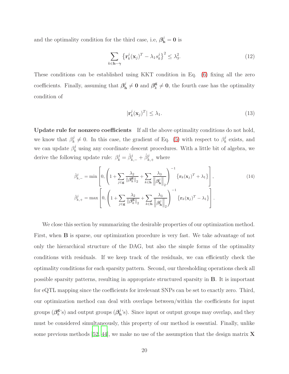and the optimality condition for the third case, i.e,  $\beta_{\rm h}^j = 0$  is

$$
\sum_{k \in \mathbf{h} - \gamma} \left\{ \mathbf{r}_k^j (\mathbf{x}_j)^T - \lambda_1 s_k^j \right\}^2 \le \lambda_3^2. \tag{12}
$$

These conditions can be established using KKT condition in Eq. [\(6\)](#page-10-5) fixing all the zero coefficients. Finally, assuming that  $\beta_k^j$  $\mathbf{d}^j_{\mathbf{h}} \neq \mathbf{0}$  and  $\boldsymbol{\beta}^{\mathbf{g}}_k$  $\frac{\mathbf{g}}{k} \neq \mathbf{0}$ , the fourth case has the optimality condition of

<span id="page-19-2"></span><span id="page-19-1"></span><span id="page-19-0"></span>
$$
|\mathbf{r}_k^j(\mathbf{x}_j)^T| \le \lambda_1. \tag{13}
$$

Update rule for nonzero coefficients If all the above optimality conditions do not hold, we know that  $\beta_k^j$  $\mathbf{g}_k^j \neq 0$ . In this case, the gradient of Eq. [\(5\)](#page-10-4) with respect to  $\beta_k^j$  $\frac{d}{k}$  exists, and we can update  $\beta_k^j$  $\frac{d}{dx}$  using any coordinate descent procedures. With a little bit of algebra, we derive the following update rule:  $\beta_k^j = \hat{\beta}_{k,-}^j + \hat{\beta}_{k,+}^j$  where

$$
\hat{\beta}_{k,-}^{j} = \min \left[ 0, \left( 1 + \sum_{j \in \mathbf{g}} \frac{\lambda_{2}}{\|\boldsymbol{\beta}_{k}^{\mathbf{g}}\|_{2}} + \sum_{k \in \mathbf{h}} \frac{\lambda_{3}}{\|\boldsymbol{\beta}_{\mathbf{h}}^{j}\|_{2}} \right)^{-1} \left\{ \mathbf{r}_{k}(\mathbf{x}_{j})^{T} + \lambda_{1} \right\} \right],
$$
\n(14)\n
$$
\hat{\beta}_{k,+}^{j} = \max \left[ 0, \left( 1 + \sum_{j \in \mathbf{g}} \frac{\lambda_{2}}{\|\boldsymbol{\beta}_{k}^{\mathbf{g}}\|_{2}} + \sum_{k \in \mathbf{h}} \frac{\lambda_{3}}{\|\boldsymbol{\beta}_{\mathbf{h}}^{j}\|_{2}} \right)^{-1} \left\{ \mathbf{r}_{k}(\mathbf{x}_{j})^{T} - \lambda_{1} \right\} \right].
$$

We close this section by summarizing the desirable properties of our optimization method. First, when B is sparse, our optimization procedure is very fast. We take advantage of not only the hierarchical structure of the DAG, but also the simple forms of the optimality conditions with residuals. If we keep track of the residuals, we can efficiently check the optimality conditions for each sparsity pattern. Second, our thresholding operations check all possible sparsity patterns, resulting in appropriate structured sparsity in B. It is important for eQTL mapping since the coefficients for irrelevant SNPs can be set to exactly zero. Third, our optimization method can deal with overlaps between/within the coefficients for input groups  $(\beta_k^{\mathbf{g}})$  $_{k}^{\mathbf{g}}$ 's) and output groups  $(\beta_{\mathrm{h}}^{j})$  $_{h}^{j}$ 's). Since input or output groups may overlap, and they must be considered simultaneously, this property of our method is essential. Finally, unlike some previous methods [\[52](#page-45-1), [44\]](#page-44-4), we make no use of the assumption that the design matrix  $X$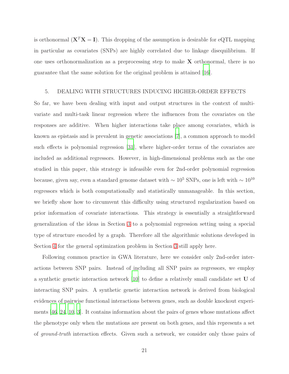is orthonormal  $(X^T X = I)$ . This dropping of the assumption is desirable for eQTL mapping in particular as covariates (SNPs) are highly correlated due to linkage disequilibrium. If one uses orthonormalization as a preprocessing step to make  $X$  orthonormal, there is no guarantee that the same solution for the original problem is attained [\[16\]](#page-41-5).

## <span id="page-20-0"></span>5. DEALING WITH STRUCTURES INDUCING HIGHER-ORDER EFFECTS

So far, we have been dealing with input and output structures in the context of multivariate and multi-task linear regression where the influences from the covariates on the responses are additive. When higher interactions take place among covariates, which is known as epistasis and is prevalent in genetic associations [\[7\]](#page-41-6), a common approach to model such effects is polynomial regression [\[31\]](#page-43-6), where higher-order terms of the covariates are included as additional regressors. However, in high-dimensional problems such as the one studied in this paper, this strategy is infeasible even for 2nd-order polynomial regression because, given say, even a standard genome dataset with  $\sim 10^5$  SNPs, one is left with  $\sim 10^{10}$ regressors which is both computationally and statistically unmanageable. In this section, we briefly show how to circumvent this difficulty using structured regularization based on prior information of covariate interactions. This strategy is essentially a straightforward generalization of the ideas in Section [3](#page-10-0) to a polynomial regression setting using a special type of structure encoded by a graph. Therefore all the algorithmic solutions developed in Section [4](#page-14-0) for the general optimization problem in Section [3](#page-10-0) still apply here.

Following common practice in GWA literature, here we consider only 2nd-order interactions between SNP pairs. Instead of including all SNP pairs as regressors, we employ a synthetic genetic interaction network [\[10\]](#page-41-4) to define a relatively small candidate set U of interacting SNP pairs. A synthetic genetic interaction network is derived from biological evidences of pairwise functional interactions between genes, such as double knockout experiments [\[46](#page-45-8), [24,](#page-42-7) [10](#page-41-4), [3\]](#page-40-3). It contains information about the pairs of genes whose mutations affect the phenotype only when the mutations are present on both genes, and this represents a set of *ground-truth* interaction effects. Given such a network, we consider only those pairs of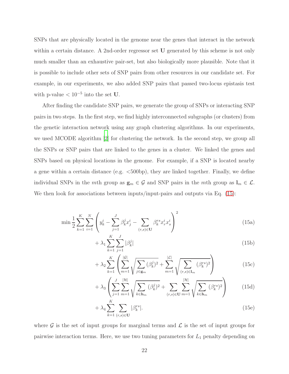SNPs that are physically located in the genome near the genes that interact in the network within a certain distance. A 2nd-order regressor set U generated by this scheme is not only much smaller than an exhaustive pair-set, but also biologically more plausible. Note that it is possible to include other sets of SNP pairs from other resources in our candidate set. For example, in our experiments, we also added SNP pairs that passed two-locus epistasis test with p-value  $< 10^{-5}$  into the set U.

After finding the candidate SNP pairs, we generate the group of SNPs or interacting SNP pairs in two steps. In the first step, we find highly interconnected subgraphs (or clusters) from the genetic interaction network using any graph clustering algorithms. In our experiments, we used MCODE algorithm [\[2\]](#page-40-4) for clustering the network. In the second step, we group all the SNPs or SNP pairs that are linked to the genes in a cluster. We linked the genes and SNPs based on physical locations in the genome. For example, if a SNP is located nearby a gene within a certain distance (e.g.  $\lt$ 500bp), they are linked together. Finally, we define individual SNPs in the mth group as  $\mathbf{g}_m \in \mathcal{G}$  and SNP pairs in the mth group as  $\mathbf{l}_m \in \mathcal{L}$ . We then look for associations between inputs/input-pairs and outputs via Eq.  $(15)$ :

<span id="page-21-0"></span>
$$
\min \frac{1}{2} \sum_{k=1}^{K} \sum_{i=1}^{N} \left( y_k^i - \sum_{j=1}^{J} \beta_k^j x_j^i - \sum_{(r,s) \in \mathbf{U}} \beta_k^{rs} x_r^i x_s^i \right)^2
$$
\n(15a)

$$
+\lambda_1 \sum_{k=1}^{N} \sum_{j=1}^{J} |\beta_k^j| \tag{15b}
$$

$$
+\lambda_2 \sum_{k=1}^{K} \left( \sum_{m=1}^{|\mathcal{G}|} \sqrt{\sum_{j \in \mathbf{g}_m} (\beta_k^j)^2} + \sum_{m=1}^{|\mathcal{L}|} \sqrt{\sum_{(r,s) \in \mathbf{l}_m} (\beta_k^{rs})^2} \right) \tag{15c}
$$

$$
+\lambda_3 \left( \sum_{j=1}^{J} \sum_{m=1}^{|\mathcal{H}|} \sqrt{\sum_{k \in \mathbf{h}_m} (\beta_k^j)^2} + \sum_{(r,s) \in \mathbf{U}} \sum_{m=1}^{|\mathcal{H}|} \sqrt{\sum_{k \in \mathbf{h}_m} (\beta_k^{rs})^2} \right) \tag{15d}
$$

$$
+\lambda_4 \sum_{k=1}^{\infty} \sum_{(r,s)\in\mathbf{U}} |\beta_k^{rs}|.
$$
\n(15e)

where  $\mathcal G$  is the set of input groups for marginal terms and  $\mathcal L$  is the set of input groups for pairwise interaction terms. Here, we use two tuning parameters for  $L_1$  penalty depending on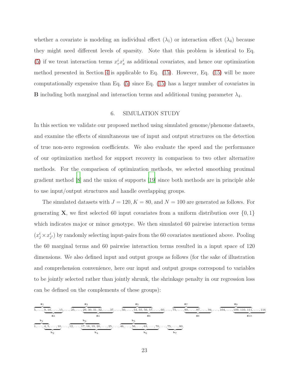whether a covariate is modeling an individual effect  $(\lambda_1)$  or interaction effect  $(\lambda_4)$  because they might need different levels of sparsity. Note that this problem is identical to Eq. [\(5\)](#page-10-4) if we treat interaction terms  $x_r^i x_s^i$  as additional covariates, and hence our optimization method presented in Section [4](#page-14-0) is applicable to Eq. [\(15\)](#page-21-0). However, Eq. [\(15\)](#page-21-0) will be more computationally expensive than Eq. [\(5\)](#page-10-4) since Eq. [\(15\)](#page-21-0) has a larger number of covariates in **B** including both marginal and interaction terms and additional tuning parameter  $\lambda_4$ .

#### 6. SIMULATION STUDY

In this section we validate our proposed method using simulated genome/phenome datasets, and examine the effects of simultaneous use of input and output structures on the detection of true non-zero regression coefficients. We also evaluate the speed and the performance of our optimization method for support recovery in comparison to two other alternative methods. For the comparison of optimization methods, we selected smoothing proximal gradient method [\[8](#page-41-7)] and the union of supports [\[19\]](#page-42-4) since both methods are in principle able to use input/output structures and handle overlapping groups.

The simulated datasets with  $J = 120, K = 80$ , and  $N = 100$  are generated as follows. For generating **X**, we first selected 60 input covariates from a uniform distribution over  $\{0, 1\}$ which indicates major or minor genotype. We then simulated 60 pairwise interaction terms  $(x_j^i \times x_{j'}^i)$  by randomly selecting input-pairs from the 60 covariates mentioned above. Pooling the 60 marginal terms and 60 pairwise interaction terms resulted in a input space of 120 dimensions. We also defined input and output groups as follows (for the sake of illustration and comprehension convenience, here our input and output groups correspond to variables to be jointly selected rather than jointly shrunk, the shrinkage penalty in our regression loss can be defined on the complements of these groups):

$$
\frac{\mathbf{g_{1}}}{5,\ldots,\underbrace{9,10,\ldots,15}_{\mathbf{g_{2}}},\ldots,\underbrace{25,\ldots,\underbrace{29,30,31,32}_{\mathbf{g_{4}}},\ldots,37}_{\mathbf{g_{4}}},\ldots,\underbrace{50,\ldots,\underbrace{54,55,56,57}_{\mathbf{g_{5}}},\ldots,60}_{\mathbf{g_{6}}},\ldots,\underbrace{75,\ldots,\underbrace{80,\ldots,87}_{\mathbf{g_{7}}},\ldots,94}_{\mathbf{g_{8}}},\ldots,\underbrace{104,\ldots,\underbrace{109,110,111}_{\mathbf{g_{1}}},\ldots,116}_{\mathbf{g_{10}}},\ldots,\underbrace{109,110,111}_{\mathbf{g_{10}}},\ldots,116}_{\mathbf{g_{10}}},\ldots,\underbrace{109,110,111}_{\mathbf{g_{10}}},\ldots,116}_{\mathbf{g_{10}}},\ldots,\underbrace{109,110,111}_{\mathbf{g_{10}}},\ldots,116}_{\mathbf{g_{10}}},\ldots,\underbrace{109,110,111}_{\mathbf{g_{10}}},\ldots,116,111,111},\ldots,116
$$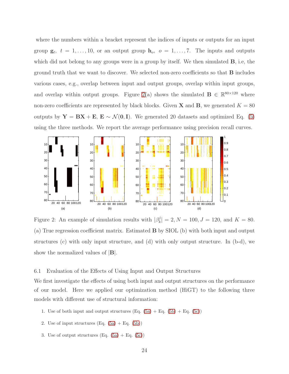where the numbers within a bracket represent the indices of inputs or outputs for an input group  $\mathbf{g}_t$ ,  $t = 1, \ldots, 10$ , or an output group  $\mathbf{h}_o$ ,  $o = 1, \ldots, 7$ . The inputs and outputs which did not belong to any groups were in a group by itself. We then simulated **B**, i.e, the ground truth that we want to discover. We selected non-zero coefficients so that B includes various cases, e.g., overlap between input and output groups, overlap within input groups, and overlap within output groups. Figure [2\(](#page-23-0)a) shows the simulated  $\mathbf{B} \in \mathbb{R}^{80 \times 120}$  where non-zero coefficients are represented by black blocks. Given **X** and **B**, we generated  $K = 80$ outputs by  $Y = BX + E$ ,  $E \sim \mathcal{N}(0, I)$ . We generated 20 datasets and optimized Eq. [\(5\)](#page-10-4) using the three methods. We report the average performance using precision recall curves.

<span id="page-23-0"></span>

Figure 2: An example of simulation results with  $\beta_k^j$  $|k| = 2, N = 100, J = 120, \text{ and } K = 80.$ (a) True regression coefficient matrix. Estimated B by SIOL (b) with both input and output structures (c) with only input structure, and (d) with only output structure. In (b-d), we show the normalized values of |B|.

# <span id="page-23-1"></span>6.1 Evaluation of the Effects of Using Input and Output Structures

We first investigate the effects of using both input and output structures on the performance of our model. Here we applied our optimization method (HiGT) to the following three models with different use of structural information:

- 1. Use of both input and output structures  $(Eq. (5a) + Eq. (5b) + Eq. (5c))$  $(Eq. (5a) + Eq. (5b) + Eq. (5c))$  $(Eq. (5a) + Eq. (5b) + Eq. (5c))$  $(Eq. (5a) + Eq. (5b) + Eq. (5c))$  $(Eq. (5a) + Eq. (5b) + Eq. (5c))$  $(Eq. (5a) + Eq. (5b) + Eq. (5c))$  $(Eq. (5a) + Eq. (5b) + Eq. (5c))$
- 2. Use of input structures  $(Eq. (5a) + Eq. (5b))$  $(Eq. (5a) + Eq. (5b))$  $(Eq. (5a) + Eq. (5b))$  $(Eq. (5a) + Eq. (5b))$  $(Eq. (5a) + Eq. (5b))$
- 3. Use of output structures  $(Eq. (5a) + Eq. (5c))$  $(Eq. (5a) + Eq. (5c))$  $(Eq. (5a) + Eq. (5c))$  $(Eq. (5a) + Eq. (5c))$  $(Eq. (5a) + Eq. (5c))$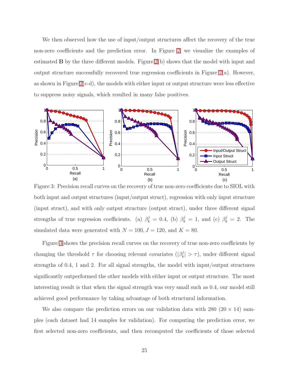We then observed how the use of input/output structures affect the recovery of the true non-zero coefficients and the prediction error. In Figure [2,](#page-23-0) we visualize the examples of estimated  $\bf{B}$  by the three different models. Figure [2\(](#page-23-0)b) shows that the model with input and output structure successfully recovered true regression coefficients in Figure  $2(a)$ . However, as shown in Figure  $2(c-d)$ , the models with either input or output structure were less effective to suppress noisy signals, which resulted in many false positives.

<span id="page-24-0"></span>

Figure 3: Precision recall curves on the recovery of true non-zero coefficients due to SIOL with both input and output structures (input/output struct), regression with only input structure (input struct), and with only output structure (output struct), under three different signal strengths of true regression coefficients. (a)  $\beta_k^j = 0.4$ , (b)  $\beta_k^j = 1$ , and (c)  $\beta_k^j = 2$ . The simulated data were generated with  $N = 100, J = 120$ , and  $K = 80$ .

Figure [3](#page-24-0) shows the precision recall curves on the recovery of true non-zero coefficients by changing the threshold  $\tau$  for choosing relevant covariates  $(|\beta_k^j)|$  $|k| > \tau$ , under different signal strengths of 0.4, 1 and 2. For all signal strengths, the model with input/output structures significantly outperformed the other models with either input or output structure. The most interesting result is that when the signal strength was very small such as 0.4, our model still achieved good performance by taking advantage of both structural information.

We also compare the prediction errors on our validation data with 280 ( $20 \times 14$ ) samples (each dataset had 14 samples for validation). For computing the prediction error, we first selected non-zero coefficients, and then recomputed the coefficients of those selected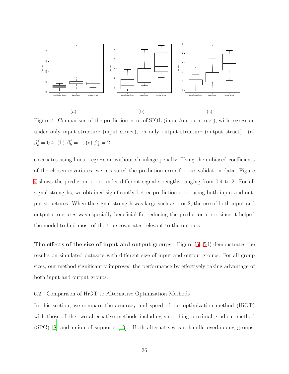<span id="page-25-0"></span>

Figure 4: Comparison of the prediction error of SIOL (input/output struct), with regression under only input structure (input struct), on only output structure (output struct). (a)  $\beta_k^j = 0.4$ , (b)  $\beta_k^j = 1$ , (c)  $\beta_k^j = 2$ .

covariates using linear regression without shrinkage penalty. Using the unbiased coefficients of the chosen covariates, we measured the prediction error for our validation data. Figure [4](#page-25-0) shows the prediction error under different signal strengths ranging from 0.4 to 2. For all signal strengths, we obtained significantly better prediction error using both input and output structures. When the signal strength was large such as 1 or 2, the use of both input and output structures was especially beneficial for reducing the prediction error since it helped the model to find most of the true covariates relevant to the outputs.

The effects of the size of input and output groups Figure [\(5a-5d](#page-26-0)) demonstrates the results on simulated datasets with different size of input and output groups. For all group sizes, our method significantly improved the performance by effectively taking advantage of both input and output groups.

#### 6.2 Comparison of HiGT to Alternative Optimization Methods

In this section, we compare the accuracy and speed of our optimization method (HiGT) with those of the two alternative methods including smoothing proximal gradient method (SPG) [\[8](#page-41-7)] and union of supports [\[19](#page-42-4)]. Both alternatives can handle overlapping groups.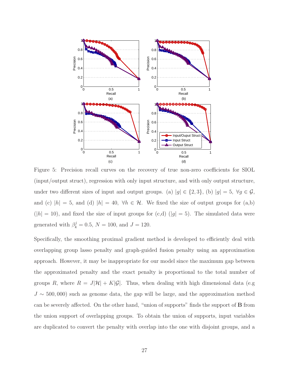<span id="page-26-0"></span>

Figure 5: Precision recall curves on the recovery of true non-zero coefficients for SIOL (input/output struct), regression with only input structure, and with only output structure, under two different sizes of input and output groups. (a)  $|g| \in \{2, 3\}$ , (b)  $|g| = 5$ ,  $\forall g \in \mathcal{G}$ , and (c)  $|h| = 5$ , and (d)  $|h| = 40$ ,  $\forall h \in \mathcal{H}$ . We fixed the size of output groups for (a,b)  $(|h| = 10)$ , and fixed the size of input groups for  $(c,d)$   $(|g| = 5)$ . The simulated data were generated with  $\beta_k^j = 0.5, N = 100$ , and  $J = 120$ .

Specifically, the smoothing proximal gradient method is developed to efficiently deal with overlapping group lasso penalty and graph-guided fusion penalty using an approximation approach. However, it may be inappropriate for our model since the maximum gap between the approximated penalty and the exact penalty is proportional to the total number of groups R, where  $R = J|\mathcal{H}| + K|\mathcal{G}|$ . Thus, when dealing with high dimensional data (e.g  $J \sim$  500,000) such as genome data, the gap will be large, and the approximation method can be severely affected. On the other hand, "union of supports" finds the support of B from the union support of overlapping groups. To obtain the union of supports, input variables are duplicated to convert the penalty with overlap into the one with disjoint groups, and a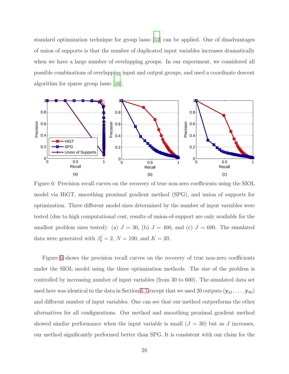standard optimization technique for group lasso [\[52](#page-45-1)] can be applied. One of disadvantages of union of supports is that the number of duplicated input variables increases dramatically when we have a large number of overlapping groups. In our experiment, we considered all possible combinations of overlapping input and output groups, and used a coordinate descent algorithm for sparse group lasso [\[16\]](#page-41-5).

<span id="page-27-0"></span>

Figure 6: Precision recall curves on the recovery of true non-zero coefficients using the SIOL model via HiGT, smoothing proximal gradient method (SPG), and union of supports for optimization. Three different model sizes determined by the number of input variables were tested (due to high computational cost, results of union-of-support are only available for the smallest problem sizes tested): (a)  $J = 30$ , (b)  $J = 400$ , and (c)  $J = 600$ . The simulated data were generated with  $\beta_k^j = 2$ ,  $N = 100$ , and  $K = 20$ .

Figure [6](#page-27-0) shows the precision recall curves on the recovery of true non-zero coefficients under the SIOL model using the three optimization methods. The size of the problem is controlled by increasing number of input variables (from 30 to 600). The simulated data set used here was identical to the data in Section [6.1](#page-23-1) except that we used 20 outputs  $(\mathbf{y}_{61}, \ldots, \mathbf{y}_{80})$ and different number of input variables. One can see that our method outperforms the other alternatives for all configurations. Our method and smoothing proximal gradient method showed similar performance when the input variable is small  $(J = 30)$  but as J increases, our method significantly performed better than SPG. It is consistent with our claim for the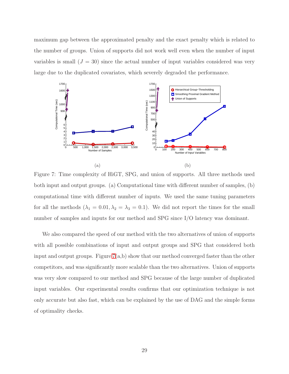maximum gap between the approximated penalty and the exact penalty which is related to the number of groups. Union of supports did not work well even when the number of input variables is small  $(J = 30)$  since the actual number of input variables considered was very large due to the duplicated covariates, which severely degraded the performance.

<span id="page-28-0"></span>

Figure 7: Time complexity of HiGT, SPG, and union of supports. All three methods used both input and output groups. (a) Computational time with different number of samples, (b) computational time with different number of inputs. We used the same tuning parameters for all the methods  $(\lambda_1 = 0.01, \lambda_2 = \lambda_3 = 0.1)$ . We did not report the times for the small number of samples and inputs for our method and SPG since I/O latency was dominant.

We also compared the speed of our method with the two alternatives of union of supports with all possible combinations of input and output groups and SPG that considered both input and output groups. Figure [7\(](#page-28-0)a,b) show that our method converged faster than the other competitors, and was significantly more scalable than the two alternatives. Union of supports was very slow compared to our method and SPG because of the large number of duplicated input variables. Our experimental results confirms that our optimization technique is not only accurate but also fast, which can be explained by the use of DAG and the simple forms of optimality checks.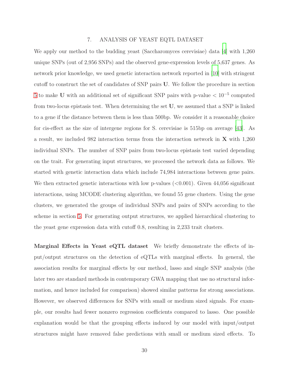## 7. ANALYSIS OF YEAST EQTL DATASET

We apply our method to the budding yeast (Saccharomyces cerevisiae) data [\[4\]](#page-40-5) with 1,260 unique SNPs (out of 2,956 SNPs) and the observed gene-expression levels of 5,637 genes. As network prior knowledge, we used genetic interaction network reported in [\[10](#page-41-4)] with stringent cutoff to construct the set of candidates of SNP pairs U. We follow the procedure in section [5](#page-20-0) to make U with an additional set of significant SNP pairs with p-value  $< 10^{-5}$  computed from two-locus epistasis test. When determining the set U, we assumed that a SNP is linked to a gene if the distance between them is less than 500bp. We consider it a reasonable choice for cis-effect as the size of intergene regions for S. cerevisiae is 515bp on average [\[43\]](#page-44-7). As a result, we included 982 interaction terms from the interaction network in X with 1,260 individual SNPs. The number of SNP pairs from two-locus epistasis test varied depending on the trait. For generating input structures, we processed the network data as follows. We started with genetic interaction data which include 74,984 interactions between gene pairs. We then extracted genetic interactions with low p-values  $(<0.001$ ). Given 44,056 significant interactions, using MCODE clustering algorithm, we found 55 gene clusters. Using the gene clusters, we generated the groups of individual SNPs and pairs of SNPs according to the scheme in section [5.](#page-20-0) For generating output structures, we applied hierarchical clustering to the yeast gene expression data with cutoff 0.8, resulting in 2,233 trait clusters.

Marginal Effects in Yeast eQTL dataset We briefly demonstrate the effects of input/output structures on the detection of eQTLs with marginal effects. In general, the association results for marginal effects by our method, lasso and single SNP analysis (the later two are standard methods in contemporary GWA mapping that use no structural information, and hence included for comparison) showed similar patterns for strong associations. However, we observed differences for SNPs with small or medium sized signals. For example, our results had fewer nonzero regression coefficients compared to lasso. One possible explanation would be that the grouping effects induced by our model with input/output structures might have removed false predictions with small or medium sized effects. To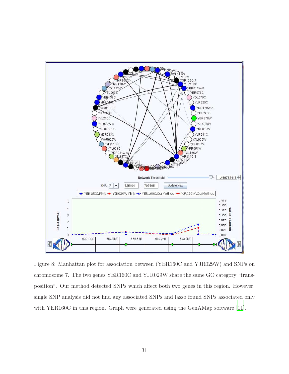<span id="page-30-0"></span>

Figure 8: Manhattan plot for association between (YER160C and YJR029W) and SNPs on chromosome 7. The two genes YER160C and YJR029W share the same GO category "transposition". Our method detected SNPs which affect both two genes in this region. However, single SNP analysis did not find any associated SNPs and lasso found SNPs associated only with YER160C in this region. Graph were generated using the GenAMap software [\[11](#page-41-8)].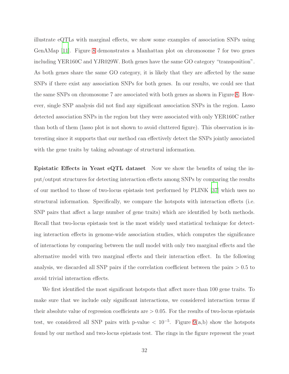illustrate eQTLs with marginal effects, we show some examples of association SNPs using GenAMap [\[11](#page-41-8)]. Figure [8](#page-30-0) demonstrates a Manhattan plot on chromosome 7 for two genes including YER160C and YJR029W. Both genes have the same GO category "transposition". As both genes share the same GO category, it is likely that they are affected by the same SNPs if there exist any association SNPs for both genes. In our results, we could see that the same SNPs on chromosome 7 are associated with both genes as shown in Figure [8.](#page-30-0) However, single SNP analysis did not find any significant association SNPs in the region. Lasso detected association SNPs in the region but they were associated with only YER160C rather than both of them (lasso plot is not shown to avoid cluttered figure). This observation is interesting since it supports that our method can effectively detect the SNPs jointly associated with the gene traits by taking advantage of structural information.

Epistatic Effects in Yeast eQTL dataset Now we show the benefits of using the input/output structures for detecting interaction effects among SNPs by comparing the results of our method to those of two-locus epistasis test performed by PLINK [\[37](#page-44-8)] which uses no structural information. Specifically, we compare the hotspots with interaction effects (i.e. SNP pairs that affect a large number of gene traits) which are identified by both methods. Recall that two-locus epistasis test is the most widely used statistical technique for detecting interaction effects in genome-wide association studies, which computes the significance of interactions by comparing between the null model with only two marginal effects and the alternative model with two marginal effects and their interaction effect. In the following analysis, we discarded all SNP pairs if the correlation coefficient between the pairs  $> 0.5$  to avoid trivial interaction effects.

We first identified the most significant hotspots that affect more than 100 gene traits. To make sure that we include only significant interactions, we considered interaction terms if their absolute value of regression coefficients are  $> 0.05$ . For the results of two-locus epistasis test, we considered all SNP pairs with p-value  $\langle 10^{-5}$ . Figure [9\(](#page-32-0)a,b) show the hotspots found by our method and two-locus epistasis test. The rings in the figure represent the yeast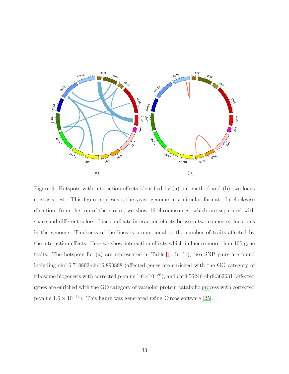<span id="page-32-0"></span>

Figure 9: Hotspots with interaction effects identified by (a) our method and (b) two-locus epistasis test. This figure represents the yeast genome in a circular format. In clockwise direction, from the top of the circles, we show 16 chromosomes, which are separated with space and different colors. Lines indicate interaction effects between two connected locations in the genome. Thickness of the lines is proportional to the number of traits affected by the interaction effects. Here we show interaction effects which influence more than 100 gene traits. The hotspots for (a) are represented in Table [1.](#page-33-0) In (b), two SNP pairs are found including chr16:718892-chr16:890898 (affected genes are enriched with the GO category of ribosome biogenesis with corrected p-value 1.6×10<sup>−</sup><sup>36</sup>), and chr8:56246-chr9:362631 (affected genes are enriched with the GO category of vacuolar protein catabolic process with corrected p-value  $1.6 \times 10^{-14}$ ). This figure was generated using Circos software [\[25\]](#page-42-8).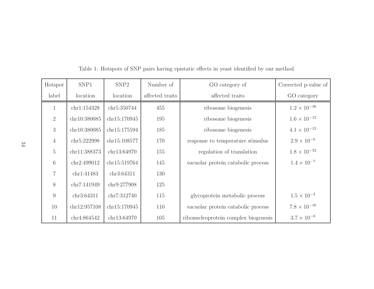<span id="page-33-0"></span>

| Hotspot        | SNP1         | SNP <sub>2</sub> | Number of       | GO category of                       | Corrected p-value of  |
|----------------|--------------|------------------|-----------------|--------------------------------------|-----------------------|
| label          | location     | location         | affected traits | affected traits                      | GO category           |
| $\mathbf{1}$   | chr1:154328  | chr5:350744      | 455             | ribosome biogenesis                  | $1.2 \times 10^{-36}$ |
| $\overline{2}$ | chr10:380085 | chr15:170945     | 195             | ribosome biogenesis                  | $1.6 \times 10^{-12}$ |
| 3              | chr10:380085 | chr15:175594     | 185             | ribosome biogenesis                  | $4.1 \times 10^{-12}$ |
| $\overline{4}$ | chr5:222998  | chr15:108577     | 170             | response to temperature stimulus     | $2.9 \times 10^{-6}$  |
| $\mathbf 5$    | chr11:388373 | chr13:64970      | 155             | regulation of translation            | $1.8\times10^{-32}$   |
| 6              | chr2:499012  | chr15:519764     | 145             | vacuolar protein catabolic process   | $1.4 \times 10^{-7}$  |
| $\overline{7}$ | chr1:41483   | chr3:64311       | 130             |                                      |                       |
| 8              | chr7:141949  | chr9:277908      | 125             |                                      |                       |
| 9              | chr3:64311   | chr7:312740      | 115             | glycoprotein metabolic process       | $1.5\times10^{-4}$    |
| 10             | chr12:957108 | chr15:170945     | 110             | vacuolar protein catabolic process   | $7.8 \times 10^{-16}$ |
| 11             | chr4:864542  | chr13:64970      | 105             | ribonucleoprotein complex biogenesis | $3.7 \times 10^{-6}$  |

Table 1: Hotspots of SNP pairs having epistatic effects in yeast identified by our method.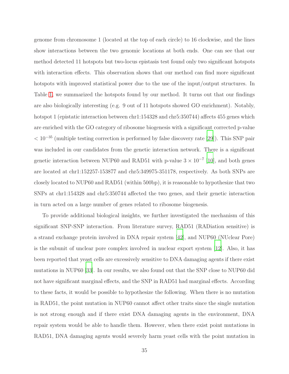genome from chromosome 1 (located at the top of each circle) to 16 clockwise, and the lines show interactions between the two genomic locations at both ends. One can see that our method detected 11 hotspots but two-locus epistasis test found only two significant hotspots with interaction effects. This observation shows that our method can find more significant hotspots with improved statistical power due to the use of the input/output structures. In Table [1,](#page-33-0) we summarized the hotspots found by our method. It turns out that our findings are also biologically interesting (e.g. 9 out of 11 hotspots showed GO enrichment). Notably, hotspot 1 (epistatic interaction between chr1:154328 and chr5:350744) affects 455 genes which are enriched with the GO category of ribosome biogenesis with a significant corrected p-value  $< 10^{-35}$  (multiple testing correction is performed by false discovery rate [\[29\]](#page-43-7)). This SNP pair was included in our candidates from the genetic interaction network. There is a significant genetic interaction between NUP60 and RAD51 with p-value  $3 \times 10^{-7}$  [\[10\]](#page-41-4), and both genes are located at chr1:152257-153877 and chr5:349975-351178, respectively. As both SNPs are closely located to NUP60 and RAD51 (within 500bp), it is reasonable to hypothesize that two SNPs at chr1:154328 and chr5:350744 affected the two genes, and their genetic interaction in turn acted on a large number of genes related to ribosome biogenesis.

To provide additional biological insights, we further investigated the mechanism of this significant SNP-SNP interaction. From literature survey, RAD51 (RADiation sensitive) is a strand exchange protein involved in DNA repair system [\[42](#page-44-9)], and NUP60 (NUclear Pore) is the subunit of unclear pore complex involved in nuclear export system [\[12](#page-41-9)]. Also, it has been reported that yeast cells are excessively sensitive to DNA damaging agents if there exist mutations in NUP60 [\[33\]](#page-43-8). In our results, we also found out that the SNP close to NUP60 did not have significant marginal effects, and the SNP in RAD51 had marginal effects. According to these facts, it would be possible to hypothesize the following. When there is no mutation in RAD51, the point mutation in NUP60 cannot affect other traits since the single mutation is not strong enough and if there exist DNA damaging agents in the environment, DNA repair system would be able to handle them. However, when there exist point mutations in RAD51, DNA damaging agents would severely harm yeast cells with the point mutation in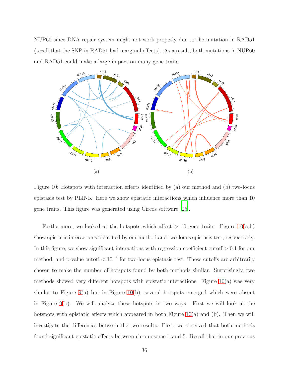NUP60 since DNA repair system might not work properly due to the mutation in RAD51 (recall that the SNP in RAD51 had marginal effects). As a result, both mutations in NUP60 and RAD51 could make a large impact on many gene traits.

<span id="page-35-0"></span>

Figure 10: Hotspots with interaction effects identified by (a) our method and (b) two-locus epistasis test by PLINK. Here we show epistatic interactions which influence more than 10 gene traits. This figure was generated using Circos software [\[25\]](#page-42-8).

Furthermore, we looked at the hotspots which affect  $> 10$  gene traits. Figure [10\(](#page-35-0)a,b) show epistatic interactions identified by our method and two-locus epistasis test, respectively. In this figure, we show significant interactions with regression coefficient cutoff  $> 0.1$  for our method, and p-value cutoff  $< 10^{-6}$  for two-locus epistasis test. These cutoffs are arbitrarily chosen to make the number of hotspots found by both methods similar. Surprisingly, two methods showed very different hotspots with epistatic interactions. Figure [10\(](#page-35-0)a) was very similar to Figure [9\(](#page-32-0)a) but in Figure [10\(](#page-35-0)b), several hotspots emerged which were absent in Figure [9\(](#page-32-0)b). We will analyze these hotspots in two ways. First we will look at the hotspots with epistatic effects which appeared in both Figure  $10(a)$  and (b). Then we will investigate the differences between the two results. First, we observed that both methods found significant epistatic effects between chromosome 1 and 5. Recall that in our previous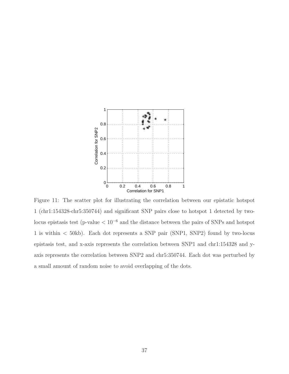<span id="page-36-0"></span>

Figure 11: The scatter plot for illustrating the correlation between our epistatic hotspot 1 (chr1:154328-chr5:350744) and significant SNP pairs close to hotspot 1 detected by twolocus epistasis test (p-value  $< 10^{-6}$  and the distance between the pairs of SNPs and hotspot 1 is within < 50kb). Each dot represents a SNP pair (SNP1, SNP2) found by two-locus epistasis test, and x-axis represents the correlation between SNP1 and chr1:154328 and yaxis represents the correlation between SNP2 and chr5:350744. Each dot was perturbed by a small amount of random noise to avoid overlapping of the dots.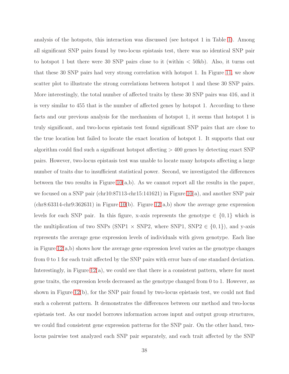analysis of the hotspots, this interaction was discussed (see hotspot 1 in Table [1\)](#page-33-0). Among all significant SNP pairs found by two-locus epistasis test, there was no identical SNP pair to hotspot 1 but there were 30 SNP pairs close to it (within < 50kb). Also, it turns out that these 30 SNP pairs had very strong correlation with hotspot 1. In Figure [11,](#page-36-0) we show scatter plot to illustrate the strong correlations between hotspot 1 and these 30 SNP pairs. More interestingly, the total number of affected traits by these 30 SNP pairs was 416, and it is very similar to 455 that is the number of affected genes by hotspot 1. According to these facts and our previous analysis for the mechanism of hotspot 1, it seems that hotspot 1 is truly significant, and two-locus epistasis test found significant SNP pairs that are close to the true location but failed to locate the exact location of hotspot 1. It supports that our algorithm could find such a significant hotspot affecting  $>$  400 genes by detecting exact SNP pairs. However, two-locus epistasis test was unable to locate many hotspots affecting a large number of traits due to insufficient statistical power. Second, we investigated the differences between the two results in Figure  $10(a,b)$ . As we cannot report all the results in the paper, we focused on a SNP pair (chr10:87113-chr15:141621) in Figure [10\(](#page-35-0)a), and another SNP pair  $(\text{chr8:63314-chr9:362631})$  in Figure [10\(](#page-35-0)b). Figure [12\(](#page-38-0)a,b) show the average gene expression levels for each SNP pair. In this figure, x-axis represents the genotype  $\in \{0,1\}$  which is the multiplication of two SNPs (SNP1  $\times$  SNP2, where SNP1, SNP2  $\in$  {0, 1}), and y-axis represents the average gene expression levels of individuals with given genotype. Each line in Figure  $12(a,b)$  shows how the average gene expression level varies as the genotype changes from 0 to 1 for each trait affected by the SNP pairs with error bars of one standard deviation. Interestingly, in Figure [12\(](#page-38-0)a), we could see that there is a consistent pattern, where for most gene traits, the expression levels decreased as the genotype changed from 0 to 1. However, as shown in Figure [12\(](#page-38-0)b), for the SNP pair found by two-locus epistasis test, we could not find such a coherent pattern. It demonstrates the differences between our method and two-locus epistasis test. As our model borrows information across input and output group structures, we could find consistent gene expression patterns for the SNP pair. On the other hand, twolocus pairwise test analyzed each SNP pair separately, and each trait affected by the SNP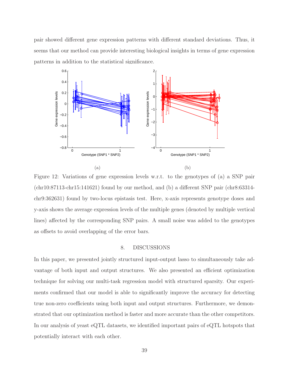<span id="page-38-0"></span>pair showed different gene expression patterns with different standard deviations. Thus, it seems that our method can provide interesting biological insights in terms of gene expression patterns in addition to the statistical significance.



Figure 12: Variations of gene expression levels w.r.t. to the genotypes of (a) a SNP pair (chr10:87113-chr15:141621) found by our method, and (b) a different SNP pair (chr8:63314 chr9:362631) found by two-locus epistasis test. Here, x-axis represents genotype doses and y-axis shows the average expression levels of the multiple genes (denoted by multiple vertical lines) affected by the corresponding SNP pairs. A small noise was added to the genotypes as offsets to avoid overlapping of the error bars.

# 8. DISCUSSIONS

In this paper, we presented jointly structured input-output lasso to simultaneously take advantage of both input and output structures. We also presented an efficient optimization technique for solving our multi-task regression model with structured sparsity. Our experiments confirmed that our model is able to significantly improve the accuracy for detecting true non-zero coefficients using both input and output structures. Furthermore, we demonstrated that our optimization method is faster and more accurate than the other competitors. In our analysis of yeast eQTL datasets, we identified important pairs of eQTL hotspots that potentially interact with each other.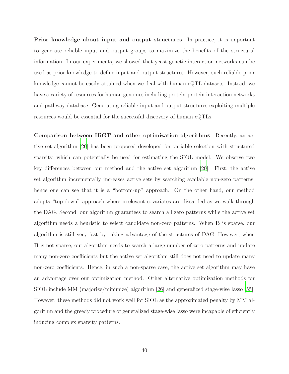Prior knowledge about input and output structures In practice, it is important to generate reliable input and output groups to maximize the benefits of the structural information. In our experiments, we showed that yeast genetic interaction networks can be used as prior knowledge to define input and output structures. However, such reliable prior knowledge cannot be easily attained when we deal with human eQTL datasets. Instead, we have a variety of resources for human genomes including protein-protein interaction networks and pathway database. Generating reliable input and output structures exploiting multiple resources would be essential for the successful discovery of human eQTLs.

Comparison between HiGT and other optimization algorithms Recently, an active set algorithm [\[20\]](#page-42-6) has been proposed developed for variable selection with structured sparsity, which can potentially be used for estimating the SIOL model. We observe two key differences between our method and the active set algorithm [\[20](#page-42-6)]. First, the active set algorithm incrementally increases active sets by searching available non-zero patterns, hence one can see that it is a "bottom-up" approach. On the other hand, our method adopts "top-down" approach where irrelevant covariates are discarded as we walk through the DAG. Second, our algorithm guarantees to search all zero patterns while the active set algorithm needs a heuristic to select candidate non-zero patterns. When B is sparse, our algorithm is still very fast by taking advantage of the structures of DAG. However, when B is not sparse, our algorithm needs to search a large number of zero patterns and update many non-zero coefficients but the active set algorithm still does not need to update many non-zero coefficients. Hence, in such a non-sparse case, the active set algorithm may have an advantage over our optimization method. Other alternative optimization methods for SIOL include MM (majorize/minimize) algorithm [\[26](#page-42-9)] and generalized stage-wise lasso [\[55\]](#page-45-9). However, these methods did not work well for SIOL as the approximated penalty by MM algorithm and the greedy procedure of generalized stage-wise lasso were incapable of efficiently inducing complex sparsity patterns.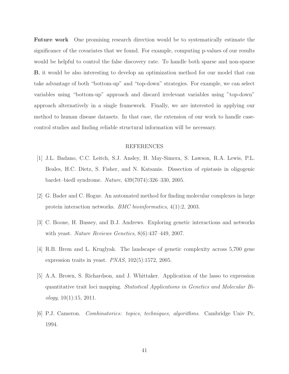Future work One promising research direction would be to systematically estimate the significance of the covariates that we found. For example, computing p-values of our results would be helpful to control the false discovery rate. To handle both sparse and non-sparse B, it would be also interesting to develop an optimization method for our model that can take advantage of both "bottom-up" and "top-down" strategies. For example, we can select variables using "bottom-up" approach and discard irrelevant variables using "top-down" approach alternatively in a single framework. Finally, we are interested in applying our method to human disease datasets. In that case, the extension of our work to handle casecontrol studies and finding reliable structural information will be necessary.

## REFERENCES

- <span id="page-40-0"></span>[1] J.L. Badano, C.C. Leitch, S.J. Ansley, H. May-Simera, S. Lawson, R.A. Lewis, P.L. Beales, H.C. Dietz, S. Fisher, and N. Katsanis. Dissection of epistasis in oligogenic bardet–biedl syndrome. *Nature*, 439(7074):326–330, 2005.
- <span id="page-40-4"></span>[2] G. Bader and C. Hogue. An automated method for finding molecular complexes in large protein interaction networks. *BMC bioinformatics*, 4(1):2, 2003.
- <span id="page-40-3"></span>[3] C. Boone, H. Bussey, and B.J. Andrews. Exploring genetic interactions and networks with yeast. *Nature Reviews Genetics*, 8(6):437–449, 2007.
- <span id="page-40-5"></span>[4] R.B. Brem and L. Kruglyak. The landscape of genetic complexity across 5,700 gene expression traits in yeast. *PNAS*, 102(5):1572, 2005.
- <span id="page-40-1"></span>[5] A.A. Brown, S. Richardson, and J. Whittaker. Application of the lasso to expression quantitative trait loci mapping. *Statistical Applications in Genetics and Molecular Biology*, 10(1):15, 2011.
- <span id="page-40-2"></span>[6] P.J. Cameron. *Combinatorics: topics, techniques, algorithms*. Cambridge Univ Pr, 1994.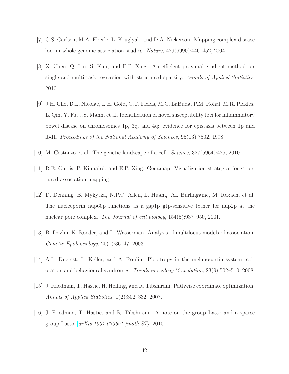- <span id="page-41-6"></span>[7] C.S. Carlson, M.A. Eberle, L. Kruglyak, and D.A. Nickerson. Mapping complex disease loci in whole-genome association studies. *Nature*, 429(6990):446–452, 2004.
- <span id="page-41-7"></span>[8] X. Chen, Q. Lin, S. Kim, and E.P. Xing. An efficient proximal-gradient method for single and multi-task regression with structured sparsity. *Annals of Applied Statistics*, 2010.
- <span id="page-41-0"></span>[9] J.H. Cho, D.L. Nicolae, L.H. Gold, C.T. Fields, M.C. LaBuda, P.M. Rohal, M.R. Pickles, L. Qin, Y. Fu, J.S. Mann, et al. Identification of novel susceptibility loci for inflammatory bowel disease on chromosomes 1p, 3q, and 4q: evidence for epistasis between 1p and ibd1. *Proceedings of the National Academy of Sciences*, 95(13):7502, 1998.
- <span id="page-41-4"></span>[10] M. Costanzo et al. The genetic landscape of a cell. *Science*, 327(5964):425, 2010.
- <span id="page-41-8"></span>[11] R.E. Curtis, P. Kinnaird, and E.P. Xing. Genamap: Visualization strategies for structured association mapping.
- <span id="page-41-9"></span>[12] D. Denning, B. Mykytka, N.P.C. Allen, L. Huang, AL Burlingame, M. Rexach, et al. The nucleoporin nup60p functions as a gsp1p–gtp-sensitive tether for nup2p at the nuclear pore complex. *The Journal of cell biology*, 154(5):937–950, 2001.
- <span id="page-41-3"></span>[13] B. Devlin, K. Roeder, and L. Wasserman. Analysis of multilocus models of association. *Genetic Epidemiology*, 25(1):36–47, 2003.
- <span id="page-41-1"></span>[14] A.L. Ducrest, L. Keller, and A. Roulin. Pleiotropy in the melanocortin system, coloration and behavioural syndromes. *Trends in ecology & evolution*, 23(9):502–510, 2008.
- <span id="page-41-2"></span>[15] J. Friedman, T. Hastie, H. Hofling, and R. Tibshirani. Pathwise coordinate optimization. *Annals of Applied Statistics*, 1(2):302–332, 2007.
- <span id="page-41-5"></span>[16] J. Friedman, T. Hastie, and R. Tibshirani. A note on the group Lasso and a sparse group Lasso. *[arXiv:1001.0736v](http://arxiv.org/abs/1001.0736)1 [math.ST]*, 2010.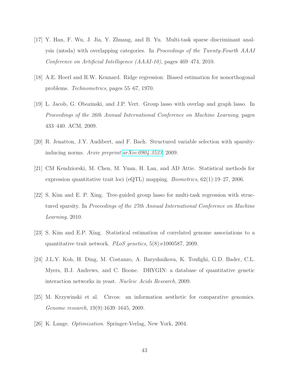- <span id="page-42-2"></span>[17] Y. Han, F. Wu, J. Jia, Y. Zhuang, and B. Yu. Multi-task sparse discriminant analysis (mtsda) with overlapping categories. In *Proceedings of the Twenty-Fourth AAAI Conference on Artificial Intelligence (AAAI-10)*, pages 469–474, 2010.
- <span id="page-42-5"></span>[18] A.E. Hoerl and R.W. Kennard. Ridge regression: Biased estimation for nonorthogonal problems. *Technometrics*, pages 55–67, 1970.
- <span id="page-42-4"></span>[19] L. Jacob, G. Obozinski, and J.P. Vert. Group lasso with overlap and graph lasso. In *Proceedings of the 26th Annual International Conference on Machine Learning*, pages 433–440. ACM, 2009.
- <span id="page-42-6"></span>[20] R. Jenatton, J.Y. Audibert, and F. Bach. Structured variable selection with sparsityinducing norms. *Arxiv preprint [arXiv:0904.3523](http://arxiv.org/abs/0904.3523)*, 2009.
- <span id="page-42-0"></span>[21] CM Kendziorski, M. Chen, M. Yuan, H. Lan, and AD Attie. Statistical methods for expression quantitative trait loci (eQTL) mapping. *Biometrics*, 62(1):19–27, 2006.
- <span id="page-42-3"></span>[22] S. Kim and E. P. Xing. Tree-guided group lasso for multi-task regression with structured sparsity. In *Proceedings of the 27th Annual International Conference on Machine Learning*, 2010.
- <span id="page-42-1"></span>[23] S. Kim and E.P. Xing. Statistical estimation of correlated genome associations to a quantitative trait network. *PLoS genetics*, 5(8):e1000587, 2009.
- <span id="page-42-7"></span>[24] J.L.Y. Koh, H. Ding, M. Costanzo, A. Baryshnikova, K. Toufighi, G.D. Bader, C.L. Myers, B.J. Andrews, and C. Boone. DRYGIN: a database of quantitative genetic interaction networks in yeast. *Nucleic Acids Research*, 2009.
- <span id="page-42-8"></span>[25] M. Krzywinski et al. Circos: an information aesthetic for comparative genomics. *Genome research*, 19(9):1639–1645, 2009.
- <span id="page-42-9"></span>[26] K. Lange. *Optimization*. Springer-Verlag, New York, 2004.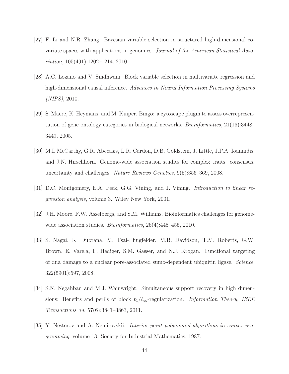- <span id="page-43-2"></span>[27] F. Li and N.R. Zhang. Bayesian variable selection in structured high-dimensional covariate spaces with applications in genomics. *Journal of the American Statistical Association*, 105(491):1202–1214, 2010.
- <span id="page-43-3"></span>[28] A.C. Lozano and V. Sindhwani. Block variable selection in multivariate regression and high-dimensional causal inference. *Advances in Neural Information Processing Systems (NIPS)*, 2010.
- <span id="page-43-7"></span>[29] S. Maere, K. Heymans, and M. Kuiper. Bingo: a cytoscape plugin to assess overrepresentation of gene ontology categories in biological networks. *Bioinformatics*, 21(16):3448– 3449, 2005.
- <span id="page-43-5"></span>[30] M.I. McCarthy, G.R. Abecasis, L.R. Cardon, D.B. Goldstein, J. Little, J.P.A. Ioannidis, and J.N. Hirschhorn. Genome-wide association studies for complex traits: consensus, uncertainty and challenges. *Nature Reviews Genetics*, 9(5):356–369, 2008.
- <span id="page-43-6"></span>[31] D.C. Montgomery, E.A. Peck, G.G. Vining, and J. Vining. *Introduction to linear regression analysis*, volume 3. Wiley New York, 2001.
- <span id="page-43-0"></span>[32] J.H. Moore, F.W. Asselbergs, and S.M. Williams. Bioinformatics challenges for genomewide association studies. *Bioinformatics*, 26(4):445–455, 2010.
- <span id="page-43-8"></span>[33] S. Nagai, K. Dubrana, M. Tsai-Pflugfelder, M.B. Davidson, T.M. Roberts, G.W. Brown, E. Varela, F. Hediger, S.M. Gasser, and N.J. Krogan. Functional targeting of dna damage to a nuclear pore-associated sumo-dependent ubiquitin ligase. *Science*, 322(5901):597, 2008.
- <span id="page-43-1"></span>[34] S.N. Negahban and M.J. Wainwright. Simultaneous support recovery in high dimensions: Benefits and perils of block  $\ell_1/\ell_\infty$ -regularization. *Information Theory, IEEE Transactions on*, 57(6):3841–3863, 2011.
- <span id="page-43-4"></span>[35] Y. Nesterov and A. Nemirovskii. *Interior-point polynomial algorithms in convex programming*, volume 13. Society for Industrial Mathematics, 1987.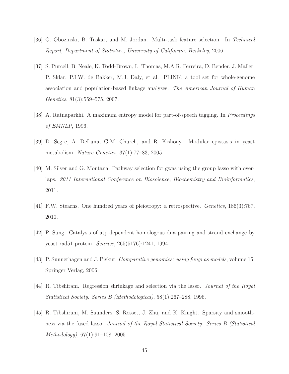- <span id="page-44-5"></span>[36] G. Obozinski, B. Taskar, and M. Jordan. Multi-task feature selection. In *Technical Report, Department of Statistics, University of California, Berkeley*, 2006.
- <span id="page-44-8"></span>[37] S. Purcell, B. Neale, K. Todd-Brown, L. Thomas, M.A.R. Ferreira, D. Bender, J. Maller, P. Sklar, P.I.W. de Bakker, M.J. Daly, et al. PLINK: a tool set for whole-genome association and population-based linkage analyses. *The American Journal of Human Genetics*, 81(3):559–575, 2007.
- <span id="page-44-3"></span>[38] A. Ratnaparkhi. A maximum entropy model for part-of-speech tagging. In *Proceedings of EMNLP*, 1996.
- <span id="page-44-0"></span>[39] D. Segre, A. DeLuna, G.M. Church, and R. Kishony. Modular epistasis in yeast metabolism. *Nature Genetics*, 37(1):77–83, 2005.
- <span id="page-44-6"></span>[40] M. Silver and G. Montana. Pathway selection for gwas using the group lasso with overlaps. *2011 International Conference on Bioscience, Biochemistry and Bioinformatics*, 2011.
- <span id="page-44-1"></span>[41] F.W. Stearns. One hundred years of pleiotropy: a retrospective. *Genetics*, 186(3):767, 2010.
- <span id="page-44-9"></span>[42] P. Sung. Catalysis of atp-dependent homologous dna pairing and strand exchange by yeast rad51 protein. *Science*, 265(5176):1241, 1994.
- <span id="page-44-7"></span>[43] P. Sunnerhagen and J. Piskur. *Comparative genomics: using fungi as models*, volume 15. Springer Verlag, 2006.
- <span id="page-44-4"></span>[44] R. Tibshirani. Regression shrinkage and selection via the lasso. *Journal of the Royal Statistical Society. Series B (Methodological)*, 58(1):267–288, 1996.
- <span id="page-44-2"></span>[45] R. Tibshirani, M. Saunders, S. Rosset, J. Zhu, and K. Knight. Sparsity and smoothness via the fused lasso. *Journal of the Royal Statistical Society: Series B (Statistical Methodology)*, 67(1):91–108, 2005.